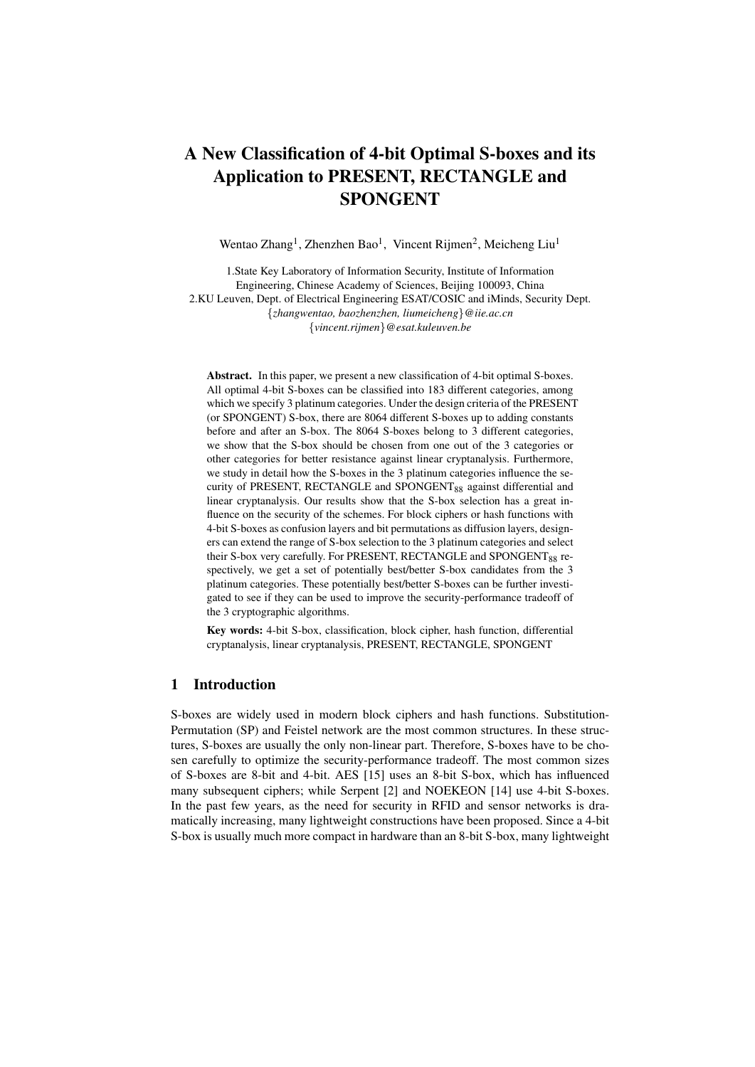# A New Classification of 4-bit Optimal S-boxes and its Application to PRESENT, RECTANGLE and SPONGENT

Wentao Zhang<sup>1</sup>, Zhenzhen Bao<sup>1</sup>, Vincent Rijmen<sup>2</sup>, Meicheng Liu<sup>1</sup>

1.State Key Laboratory of Information Security, Institute of Information Engineering, Chinese Academy of Sciences, Beijing 100093, China 2.KU Leuven, Dept. of Electrical Engineering ESAT/COSIC and iMinds, Security Dept. *{zhangwentao, baozhenzhen, liumeicheng}@iie.ac.cn {vincent.rijmen}@esat.kuleuven.be*

Abstract. In this paper, we present a new classification of 4-bit optimal S-boxes. All optimal 4-bit S-boxes can be classified into 183 different categories, among which we specify 3 platinum categories. Under the design criteria of the PRESENT (or SPONGENT) S-box, there are 8064 different S-boxes up to adding constants before and after an S-box. The 8064 S-boxes belong to 3 different categories, we show that the S-box should be chosen from one out of the 3 categories or other categories for better resistance against linear cryptanalysis. Furthermore, we study in detail how the S-boxes in the 3 platinum categories influence the security of PRESENT, RECTANGLE and SPONGENT<sub>88</sub> against differential and linear cryptanalysis. Our results show that the S-box selection has a great influence on the security of the schemes. For block ciphers or hash functions with 4-bit S-boxes as confusion layers and bit permutations as diffusion layers, designers can extend the range of S-box selection to the 3 platinum categories and select their S-box very carefully. For PRESENT, RECTANGLE and SPONGENT<sub>88</sub> respectively, we get a set of potentially best/better S-box candidates from the 3 platinum categories. These potentially best/better S-boxes can be further investigated to see if they can be used to improve the security-performance tradeoff of the 3 cryptographic algorithms.

Key words: 4-bit S-box, classification, block cipher, hash function, differential cryptanalysis, linear cryptanalysis, PRESENT, RECTANGLE, SPONGENT

# 1 Introduction

S-boxes are widely used in modern block ciphers and hash functions. Substitution-Permutation (SP) and Feistel network are the most common structures. In these structures, S-boxes are usually the only non-linear part. Therefore, S-boxes have to be chosen carefully to optimize the security-performance tradeoff. The most common sizes of S-boxes are 8-bit and 4-bit. AES [15] uses an 8-bit S-box, which has influenced many subsequent ciphers; while Serpent [2] and NOEKEON [14] use 4-bit S-boxes. In the past few years, as the need for security in RFID and sensor networks is dramatically increasing, many lightweight constructions have been proposed. Since a 4-bit S-box is usually much more compact in hardware than an 8-bit S-box, many lightweight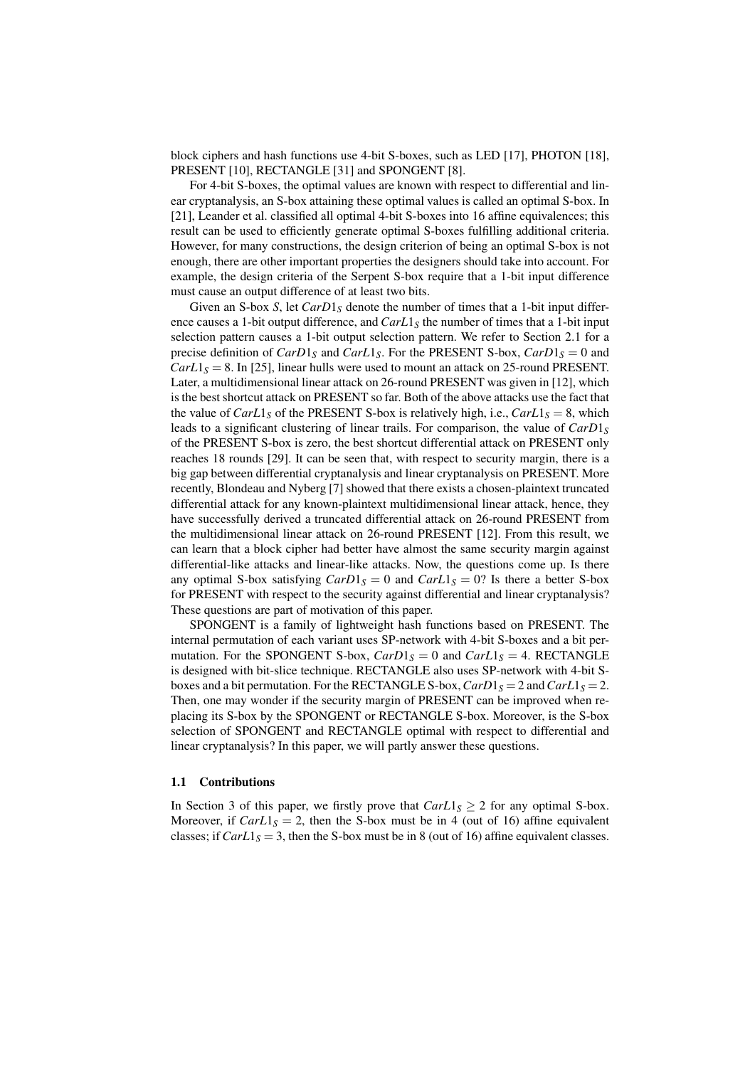block ciphers and hash functions use 4-bit S-boxes, such as LED [17], PHOTON [18], PRESENT [10], RECTANGLE [31] and SPONGENT [8].

For 4-bit S-boxes, the optimal values are known with respect to differential and linear cryptanalysis, an S-box attaining these optimal values is called an optimal S-box. In [21], Leander et al. classified all optimal 4-bit S-boxes into 16 affine equivalences; this result can be used to efficiently generate optimal S-boxes fulfilling additional criteria. However, for many constructions, the design criterion of being an optimal S-box is not enough, there are other important properties the designers should take into account. For example, the design criteria of the Serpent S-box require that a 1-bit input difference must cause an output difference of at least two bits.

Given an S-box *S*, let *CarD*<sub>1</sub>*S* denote the number of times that a 1-bit input difference causes a 1-bit output difference, and  $Carl_5$  the number of times that a 1-bit input selection pattern causes a 1-bit output selection pattern. We refer to Section 2.1 for a precise definition of  $CarD1<sub>S</sub>$  and  $CarL1<sub>S</sub>$ . For the PRESENT S-box,  $CarD1<sub>S</sub> = 0$  and  $CarL1<sub>S</sub> = 8$ . In [25], linear hulls were used to mount an attack on 25-round PRESENT. Later, a multidimensional linear attack on 26-round PRESENT was given in [12], which is the best shortcut attack on PRESENT so far. Both of the above attacks use the fact that the value of  $CarL1<sub>S</sub>$  of the PRESENT S-box is relatively high, i.e.,  $CarL1<sub>S</sub> = 8$ , which leads to a significant clustering of linear trails. For comparison, the value of  $CarD1<sub>S</sub>$ of the PRESENT S-box is zero, the best shortcut differential attack on PRESENT only reaches 18 rounds [29]. It can be seen that, with respect to security margin, there is a big gap between differential cryptanalysis and linear cryptanalysis on PRESENT. More recently, Blondeau and Nyberg [7] showed that there exists a chosen-plaintext truncated differential attack for any known-plaintext multidimensional linear attack, hence, they have successfully derived a truncated differential attack on 26-round PRESENT from the multidimensional linear attack on 26-round PRESENT [12]. From this result, we can learn that a block cipher had better have almost the same security margin against differential-like attacks and linear-like attacks. Now, the questions come up. Is there any optimal S-box satisfying  $CarD1<sub>S</sub> = 0$  and  $CarL1<sub>S</sub> = 0$ ? Is there a better S-box for PRESENT with respect to the security against differential and linear cryptanalysis? These questions are part of motivation of this paper.

SPONGENT is a family of lightweight hash functions based on PRESENT. The internal permutation of each variant uses SP-network with 4-bit S-boxes and a bit permutation. For the SPONGENT S-box,  $CarD1<sub>S</sub> = 0$  and  $CarL1<sub>S</sub> = 4$ . RECTANGLE is designed with bit-slice technique. RECTANGLE also uses SP-network with 4-bit Sboxes and a bit permutation. For the RECTANGLE S-box,  $CarD1<sub>S</sub> = 2$  and  $CarL1<sub>S</sub> = 2$ . Then, one may wonder if the security margin of PRESENT can be improved when replacing its S-box by the SPONGENT or RECTANGLE S-box. Moreover, is the S-box selection of SPONGENT and RECTANGLE optimal with respect to differential and linear cryptanalysis? In this paper, we will partly answer these questions.

## 1.1 Contributions

In Section 3 of this paper, we firstly prove that  $CarL1<sub>S</sub> \ge 2$  for any optimal S-box. Moreover, if  $CarL_1<sub>S</sub> = 2$ , then the S-box must be in 4 (out of 16) affine equivalent classes; if  $CarL1<sub>S</sub> = 3$ , then the S-box must be in 8 (out of 16) affine equivalent classes.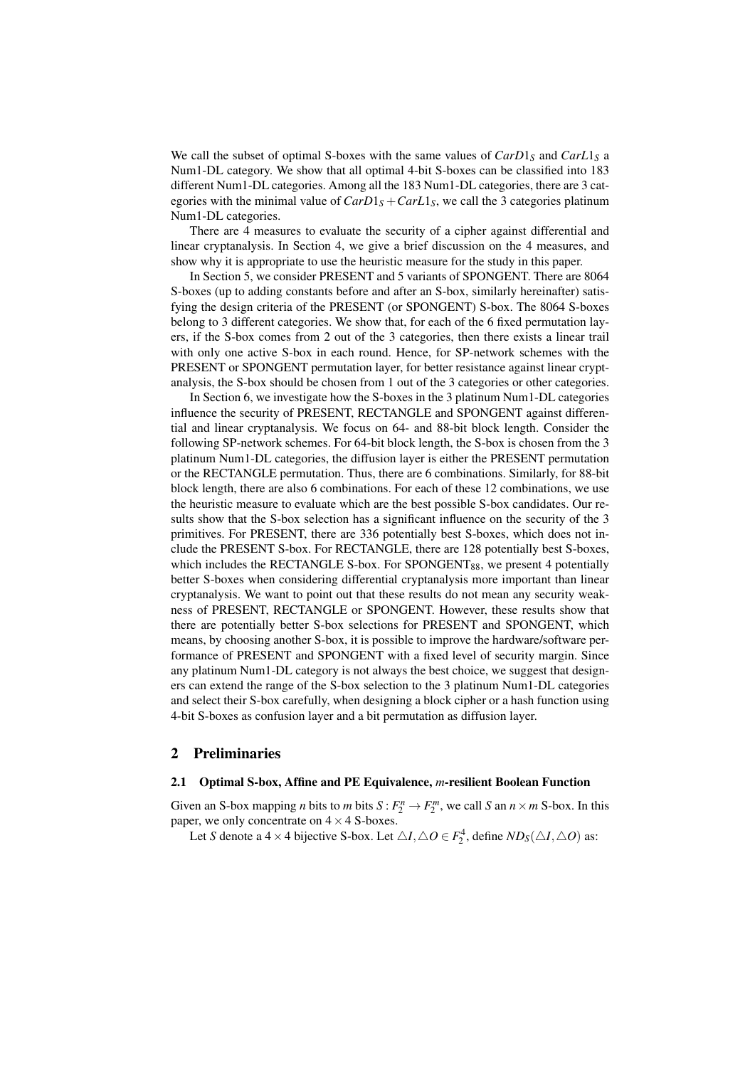We call the subset of optimal S-boxes with the same values of  $CarD1<sub>S</sub>$  and  $CarL1<sub>S</sub>$  a Num1-DL category. We show that all optimal 4-bit S-boxes can be classified into 183 different Num1-DL categories. Among all the 183 Num1-DL categories, there are 3 categories with the minimal value of  $CarD1<sub>S</sub> + CarL1<sub>S</sub>$ , we call the 3 categories platinum Num1-DL categories.

There are 4 measures to evaluate the security of a cipher against differential and linear cryptanalysis. In Section 4, we give a brief discussion on the 4 measures, and show why it is appropriate to use the heuristic measure for the study in this paper.

In Section 5, we consider PRESENT and 5 variants of SPONGENT. There are 8064 S-boxes (up to adding constants before and after an S-box, similarly hereinafter) satisfying the design criteria of the PRESENT (or SPONGENT) S-box. The 8064 S-boxes belong to 3 different categories. We show that, for each of the 6 fixed permutation layers, if the S-box comes from 2 out of the 3 categories, then there exists a linear trail with only one active S-box in each round. Hence, for SP-network schemes with the PRESENT or SPONGENT permutation layer, for better resistance against linear cryptanalysis, the S-box should be chosen from 1 out of the 3 categories or other categories.

In Section 6, we investigate how the S-boxes in the 3 platinum Num1-DL categories influence the security of PRESENT, RECTANGLE and SPONGENT against differential and linear cryptanalysis. We focus on 64- and 88-bit block length. Consider the following SP-network schemes. For 64-bit block length, the S-box is chosen from the 3 platinum Num1-DL categories, the diffusion layer is either the PRESENT permutation or the RECTANGLE permutation. Thus, there are 6 combinations. Similarly, for 88-bit block length, there are also 6 combinations. For each of these 12 combinations, we use the heuristic measure to evaluate which are the best possible S-box candidates. Our results show that the S-box selection has a significant influence on the security of the 3 primitives. For PRESENT, there are 336 potentially best S-boxes, which does not include the PRESENT S-box. For RECTANGLE, there are 128 potentially best S-boxes, which includes the RECTANGLE S-box. For SPONGENT $_{88}$ , we present 4 potentially better S-boxes when considering differential cryptanalysis more important than linear cryptanalysis. We want to point out that these results do not mean any security weakness of PRESENT, RECTANGLE or SPONGENT. However, these results show that there are potentially better S-box selections for PRESENT and SPONGENT, which means, by choosing another S-box, it is possible to improve the hardware/software performance of PRESENT and SPONGENT with a fixed level of security margin. Since any platinum Num1-DL category is not always the best choice, we suggest that designers can extend the range of the S-box selection to the 3 platinum Num1-DL categories and select their S-box carefully, when designing a block cipher or a hash function using 4-bit S-boxes as confusion layer and a bit permutation as diffusion layer.

## 2 Preliminaries

#### 2.1 Optimal S-box, Affine and PE Equivalence, *m*-resilient Boolean Function

Given an S-box mapping *n* bits to *m* bits  $S: F_2^n \to F_2^m$ , we call *S* an  $n \times m$  S-box. In this paper, we only concentrate on 4*×*4 S-boxes.

Let *S* denote a 4 × 4 bijective S-box. Let  $\triangle I$ ,  $\triangle O \in F_2^4$ , define  $ND_S(\triangle I, \triangle O)$  as: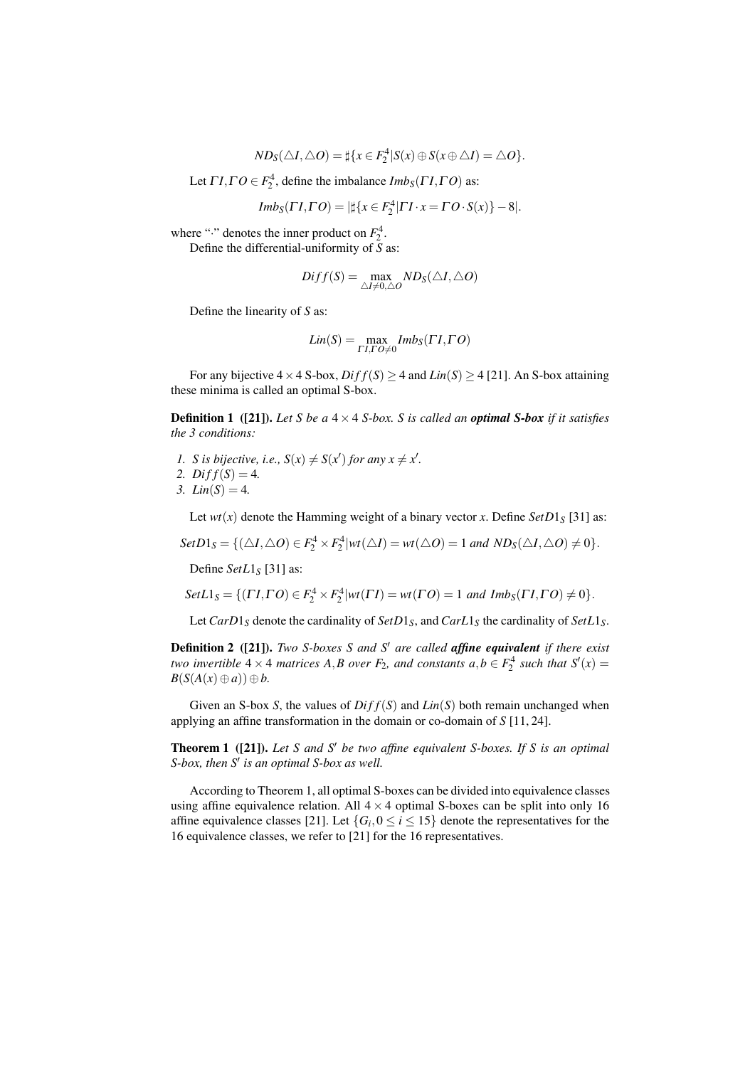$$
ND_S(\triangle I, \triangle O) = \sharp \{x \in F_2^4 | S(x) \oplus S(x \oplus \triangle I) = \triangle O\}.
$$

Let  $\Gamma I, \Gamma O \in F_2^4$ , define the imbalance  $Imb_S(\Gamma I, \Gamma O)$  as:

$$
Imb_S(\Gamma I, \Gamma O) = |\sharp \{x \in F_2^4 | \Gamma I \cdot x = \Gamma O \cdot S(x)\} - 8|.
$$

where " $\cdot$ " denotes the inner product on  $F_2^4$ .

Define the differential-uniformity of *S* as:

$$
Diff(S) = \max_{\triangle I \neq 0, \triangle O} N D_S(\triangle I, \triangle O)
$$

Define the linearity of *S* as:

$$
Lin(S) = \max_{\Gamma I, \Gamma O \neq 0} Imb_S(\Gamma I, \Gamma O)
$$

For any bijective  $4 \times 4$  S-box,  $Diff(S) \ge 4$  and  $Lin(S) \ge 4$  [21]. An S-box attaining these minima is called an optimal S-box.

**Definition 1** ([21]). Let S be a  $4 \times 4$  S-box. S is called an **optimal S-box** if it satisfies *the 3 conditions:*

- *1. S is bijective, i.e.,*  $S(x) \neq S(x')$  *for any*  $x \neq x'$ *.*
- 2.  $Diff(S) = 4$ .
- *3. Lin*(*S*) = 4*.*

Let  $wt(x)$  denote the Hamming weight of a binary vector *x*. Define  $SetD1_S$  [31] as:

 $SetD1_S = \{ (\triangle I, \triangle O) \in F_2^4 \times F_2^4 | wt(\triangle I) = wt(\triangle O) = 1 \text{ and } ND_S(\triangle I, \triangle O) \neq 0 \}.$ 

Define *SetL*1*<sup>S</sup>* [31] as:

Set
$$
L_1_S = \{(TI, \Gamma O) \in F_2^4 \times F_2^4 | wt(\Gamma I) = wt(\Gamma O) = 1 \text{ and } Imb_S(\Gamma I, \Gamma O) \neq 0\}.
$$

Let  $CarD1<sub>S</sub>$  denote the cardinality of  $SetD1<sub>S</sub>$ , and  $CarL1<sub>S</sub>$  the cardinality of  $SetL1<sub>S</sub>$ .

Definition 2 ([21]). *Two S-boxes S and S′ are called affine equivalent if there exist two invertible*  $4 \times 4$  *matrices*  $A$ *,B over*  $F_2$ *, and constants*  $a$ *,* $b \in F_2^4$  *such that*  $S'(x) =$ *B*(*S*(*A*(*x*) ⊕ *a*)) ⊕ *b*.

Given an S-box *S*, the values of  $Diff(S)$  and  $Lin(S)$  both remain unchanged when applying an affine transformation in the domain or co-domain of *S* [11, 24].

Theorem 1 ([21]). *Let S and S′ be two affine equivalent S-boxes. If S is an optimal S-box, then S′ is an optimal S-box as well.*

According to Theorem 1, all optimal S-boxes can be divided into equivalence classes using affine equivalence relation. All  $4 \times 4$  optimal S-boxes can be split into only 16 affine equivalence classes [21]. Let  $\{G_i, 0 \le i \le 15\}$  denote the representatives for the 16 equivalence classes, we refer to [21] for the 16 representatives.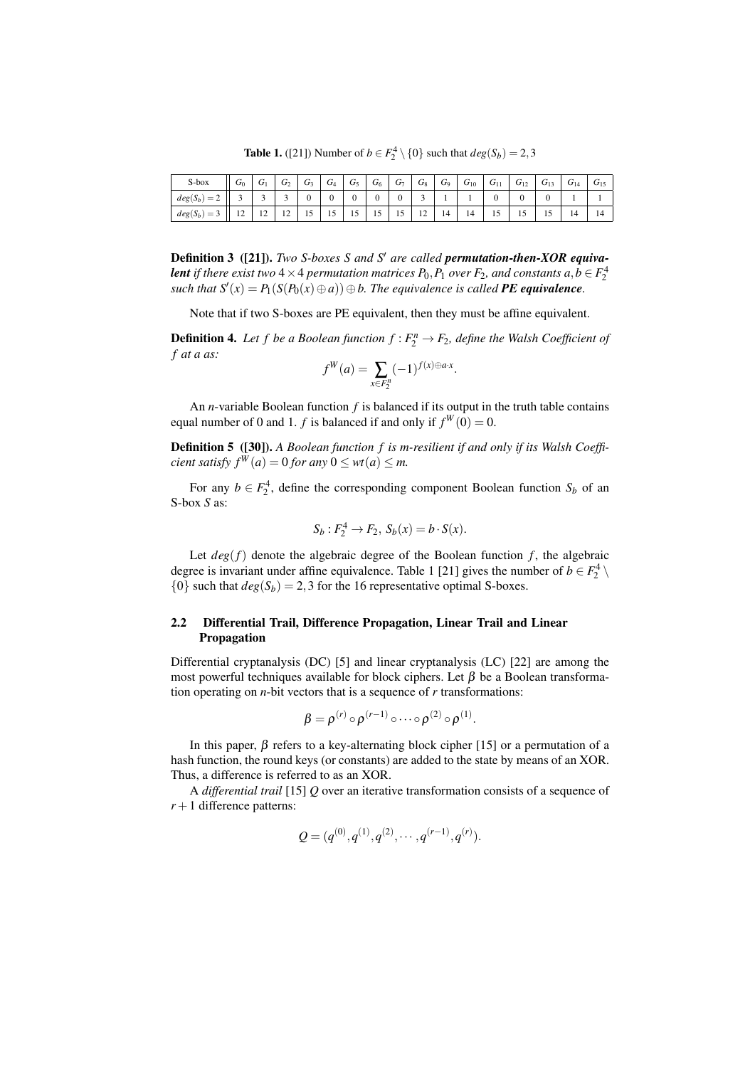**Table 1.** ([21]) Number of *b* ∈  $F_2^4 \setminus \{0\}$  such that  $deg(S_b) = 2,3$ 

| S-box                     | $\sigma_0$                       | ⌒<br>U1                  | ⌒<br>$\sigma_2$          | ⌒<br>U٩ | $\sqrt{ }$<br>$\mathbf{U}_4$ | $\sqrt{ }$<br>U5 | $\sqrt{ }$<br>$U_6$ | $\sqrt{ }$<br>$U_7$ | $\sqrt{ }$<br>$\sigma_8$         | $\sqrt{ }$<br>U9 | $\sqrt{2}$<br>$\sigma_{10}$ | $\sqrt{ }$<br>$U_{11}$ | $\sqrt{2}$<br>$\sigma_{12}$ | ⌒<br>$G_{13}$ | $\sqrt{2}$<br>$U_{14}$ | $U_{15}$ |
|---------------------------|----------------------------------|--------------------------|--------------------------|---------|------------------------------|------------------|---------------------|---------------------|----------------------------------|------------------|-----------------------------|------------------------|-----------------------------|---------------|------------------------|----------|
| $\sim$<br>$deg(S_b)$<br>∼ |                                  |                          |                          |         | υ                            | υ                | υ                   | v                   |                                  |                  |                             | v                      |                             |               |                        |          |
| $deg(S_b)$<br>=<br>J      | 1 <sub>2</sub><br>$\overline{1}$ | $\sim$<br>$\overline{1}$ | $\sim$<br>$\overline{ }$ | 1 J     | 1J                           | 12               | -<br>12             | -<br>1J             | 1 <sub>2</sub><br>$\overline{ }$ | 14               | 14                          | 19                     | ιJ                          | -<br>1J       | 14                     | 14       |

Definition 3 ([21]). *Two S-boxes S and S′ are called permutation-then-XOR equivalent if there exist two* 4  $\times$  4 *permutation matrices P*<sub>0</sub>*,P*<sub>1</sub> *over F*<sub>2</sub>*, and constants a,b*  $\in$   $F_2^4$ *such that*  $S'(x) = P_1(S(P_0(x) ⊕ a)) ⊕ b$ . The equivalence is called **PE equivalence**.

Note that if two S-boxes are PE equivalent, then they must be affine equivalent.

**Definition 4.** Let f be a Boolean function  $f : F_2^n \to F_2$ , define the Walsh Coefficient of *f at a as:*

$$
f^{W}(a) = \sum_{x \in F_2^n} (-1)^{f(x) \oplus a \cdot x}.
$$

An *n*-variable Boolean function *f* is balanced if its output in the truth table contains equal number of 0 and 1. *f* is balanced if and only if  $f^W(0) = 0$ .

Definition 5 ([30]). *A Boolean function f is m-resilient if and only if its Walsh Coefficient satisfy*  $f^W(a) = 0$  *for any*  $0 \le wt(a) \le m$ .

For any  $b \in F_2^4$ , define the corresponding component Boolean function  $S_b$  of an S-box *S* as:

$$
S_b: F_2^4 \to F_2, S_b(x) = b \cdot S(x).
$$

Let  $deg(f)$  denote the algebraic degree of the Boolean function  $f$ , the algebraic degree is invariant under affine equivalence. Table 1 [21] gives the number of  $b \in F_2^4 \setminus$  $\{0\}$  such that  $deg(S_b) = 2,3$  for the 16 representative optimal S-boxes.

# 2.2 Differential Trail, Difference Propagation, Linear Trail and Linear Propagation

Differential cryptanalysis (DC) [5] and linear cryptanalysis (LC) [22] are among the most powerful techniques available for block ciphers. Let  $\beta$  be a Boolean transformation operating on *n*-bit vectors that is a sequence of *r* transformations:

$$
\beta = \rho^{(r)} \circ \rho^{(r-1)} \circ \cdots \circ \rho^{(2)} \circ \rho^{(1)}.
$$

In this paper,  $\beta$  refers to a key-alternating block cipher [15] or a permutation of a hash function, the round keys (or constants) are added to the state by means of an XOR. Thus, a difference is referred to as an XOR.

A *differential trail* [15] *Q* over an iterative transformation consists of a sequence of  $r + 1$  difference patterns:

$$
Q = (q^{(0)}, q^{(1)}, q^{(2)}, \cdots, q^{(r-1)}, q^{(r)}).
$$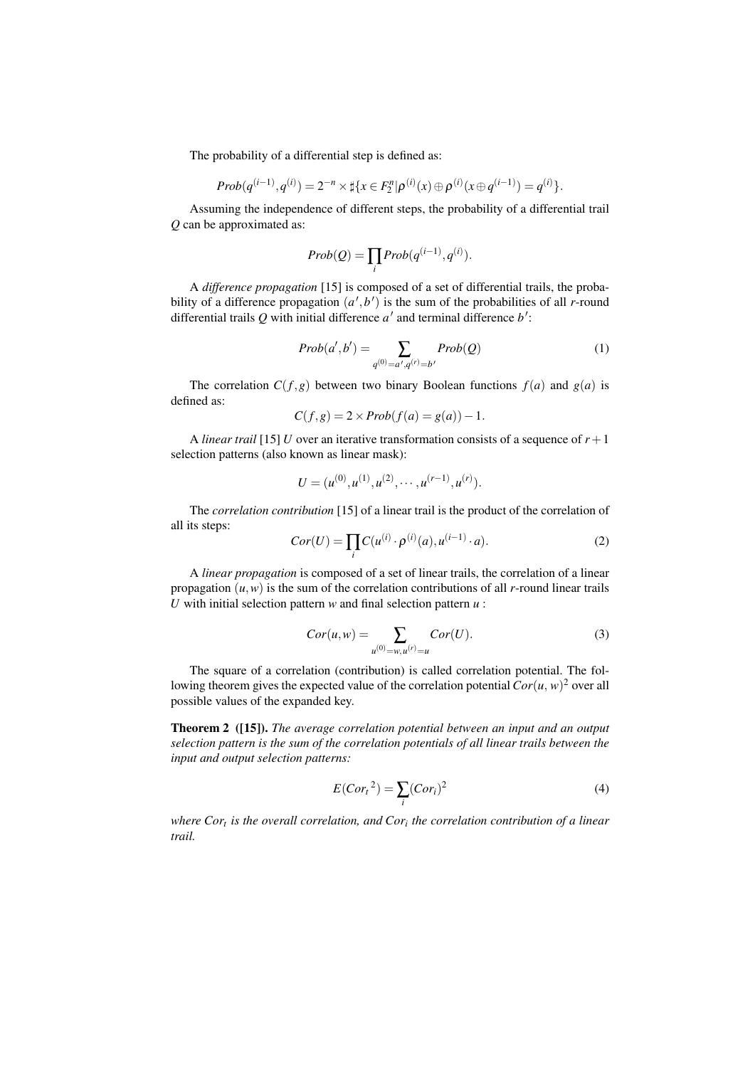The probability of a differential step is defined as:

$$
Prob(q^{(i-1)}, q^{(i)}) = 2^{-n} \times \sharp \{x \in F_2^n | \rho^{(i)}(x) \oplus \rho^{(i)}(x \oplus q^{(i-1)}) = q^{(i)}\}.
$$

Assuming the independence of different steps, the probability of a differential trail *Q* can be approximated as:

$$
Prob(Q) = \prod_i Prob(q^{(i-1)}, q^{(i)}).
$$

A *difference propagation* [15] is composed of a set of differential trails, the probability of a difference propagation  $(a', b')$  is the sum of the probabilities of all *r*-round differential trails *Q* with initial difference *a ′* and terminal difference *b ′* :

$$
Prob(a', b') = \sum_{q^{(0)} = a', q^{(r)} = b'} Prob(Q)
$$
 (1)

The correlation  $C(f, g)$  between two binary Boolean functions  $f(a)$  and  $g(a)$  is defined as:

$$
C(f,g) = 2 \times Prob(f(a) = g(a)) - 1.
$$

A *linear trail* [15] *U* over an iterative transformation consists of a sequence of  $r + 1$ selection patterns (also known as linear mask):

$$
U = (u^{(0)}, u^{(1)}, u^{(2)}, \cdots, u^{(r-1)}, u^{(r)}).
$$

The *correlation contribution* [15] of a linear trail is the product of the correlation of all its steps:

$$
Cor(U) = \prod_{i} C(u^{(i)} \cdot \rho^{(i)}(a), u^{(i-1)} \cdot a).
$$
 (2)

A *linear propagation* is composed of a set of linear trails, the correlation of a linear propagation  $(u, w)$  is the sum of the correlation contributions of all *r*-round linear trails *U* with initial selection pattern *w* and final selection pattern *u* :

$$
Cor(u, w) = \sum_{u^{(0)} = w, u^{(r)} = u} Cor(U).
$$
 (3)

The square of a correlation (contribution) is called correlation potential. The following theorem gives the expected value of the correlation potential  $Cor(u, w)^2$  over all possible values of the expanded key.

Theorem 2 ([15]). *The average correlation potential between an input and an output selection pattern is the sum of the correlation potentials of all linear trails between the input and output selection patterns:*

$$
E(Cort2) = \sum_{i} (Cori)2
$$
 (4)

*where Cor<sup>t</sup> is the overall correlation, and Cor<sup>i</sup> the correlation contribution of a linear trail.*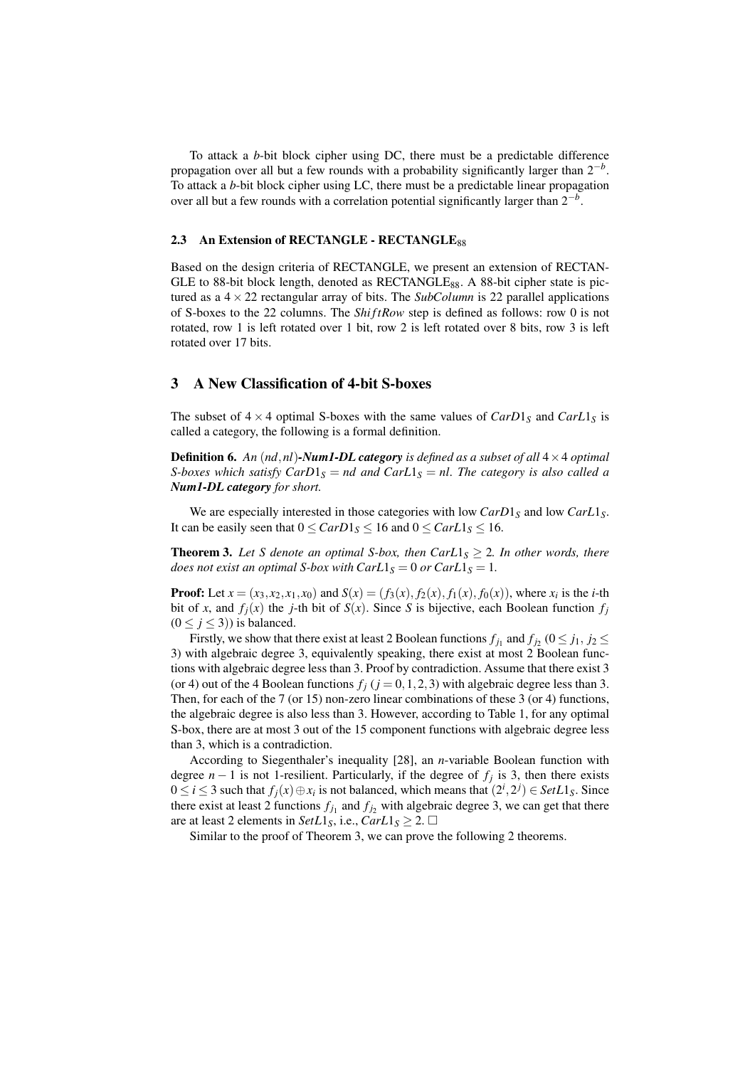To attack a *b*-bit block cipher using DC, there must be a predictable difference propagation over all but a few rounds with a probability significantly larger than 2*−<sup>b</sup>* . To attack a *b*-bit block cipher using LC, there must be a predictable linear propagation over all but a few rounds with a correlation potential significantly larger than 2*−<sup>b</sup>* .

#### 2.3 An Extension of RECTANGLE - RECTANGLE88

Based on the design criteria of RECTANGLE, we present an extension of RECTAN-GLE to 88-bit block length, denoted as RECTANGLE<sub>88</sub>. A 88-bit cipher state is pictured as a  $4 \times 22$  rectangular array of bits. The *SubColumn* is 22 parallel applications of S-boxes to the 22 columns. The *Shi ftRow* step is defined as follows: row 0 is not rotated, row 1 is left rotated over 1 bit, row 2 is left rotated over 8 bits, row 3 is left rotated over 17 bits.

## 3 A New Classification of 4-bit S-boxes

The subset of  $4 \times 4$  optimal S-boxes with the same values of  $CarD1<sub>S</sub>$  and  $CarL1<sub>S</sub>$  is called a category, the following is a formal definition.

Definition 6. *An* (*nd,nl*)*-Num1-DL category is defined as a subset of all* 4*×*4 *optimal S-boxes which satisfy CarD* $1_S = nd$  *and CarL* $1_S = nl$ *. The category is also called a Num1-DL category for short.*

We are especially interested in those categories with low *CarD*1<sub>*S*</sub> and low *CarL*1<sub>*S*</sub>. It can be easily seen that  $0 \leq \frac{CarD1_S}{16} \leq 16$  and  $0 \leq \frac{CarL1_S}{16} \leq 16$ .

**Theorem 3.** Let S denote an optimal S-box, then  $CarL1<sub>S</sub> \geq 2$ . In other words, there *does not exist an optimal S-box with*  $CarL1<sub>S</sub> = 0$  *or*  $CarL1<sub>S</sub> = 1$ *.* 

**Proof:** Let  $x = (x_3, x_2, x_1, x_0)$  and  $S(x) = (f_3(x), f_2(x), f_1(x), f_0(x))$ , where  $x_i$  is the *i*-th bit of *x*, and  $f_j(x)$  the *j*-th bit of  $S(x)$ . Since *S* is bijective, each Boolean function  $f_j$  $(0 \le j \le 3)$ ) is balanced.

Firstly, we show that there exist at least 2 Boolean functions  $f_{j_1}$  and  $f_{j_2}$  ( $0 \le j_1, j_2 \le j_3$ 3) with algebraic degree 3, equivalently speaking, there exist at most 2 Boolean functions with algebraic degree less than 3. Proof by contradiction. Assume that there exist 3 (or 4) out of the 4 Boolean functions  $f_j$  ( $j = 0, 1, 2, 3$ ) with algebraic degree less than 3. Then, for each of the 7 (or 15) non-zero linear combinations of these 3 (or 4) functions, the algebraic degree is also less than 3. However, according to Table 1, for any optimal S-box, there are at most 3 out of the 15 component functions with algebraic degree less than 3, which is a contradiction.

According to Siegenthaler's inequality [28], an *n*-variable Boolean function with degree *n −* 1 is not 1-resilient. Particularly, if the degree of *f<sup>j</sup>* is 3, then there exists  $0 \le i \le 3$  such that  $f_j(x) \oplus x_i$  is not balanced, which means that  $(2^i, 2^j) \in SetL1_S$ . Since there exist at least 2 functions  $f_{j_1}$  and  $f_{j_2}$  with algebraic degree 3, we can get that there are at least 2 elements in *SetL*1<sub>*S*</sub>, i.e., *CarL*1<sub>*S*</sub>  $\geq$  2.  $\Box$ 

Similar to the proof of Theorem 3, we can prove the following 2 theorems.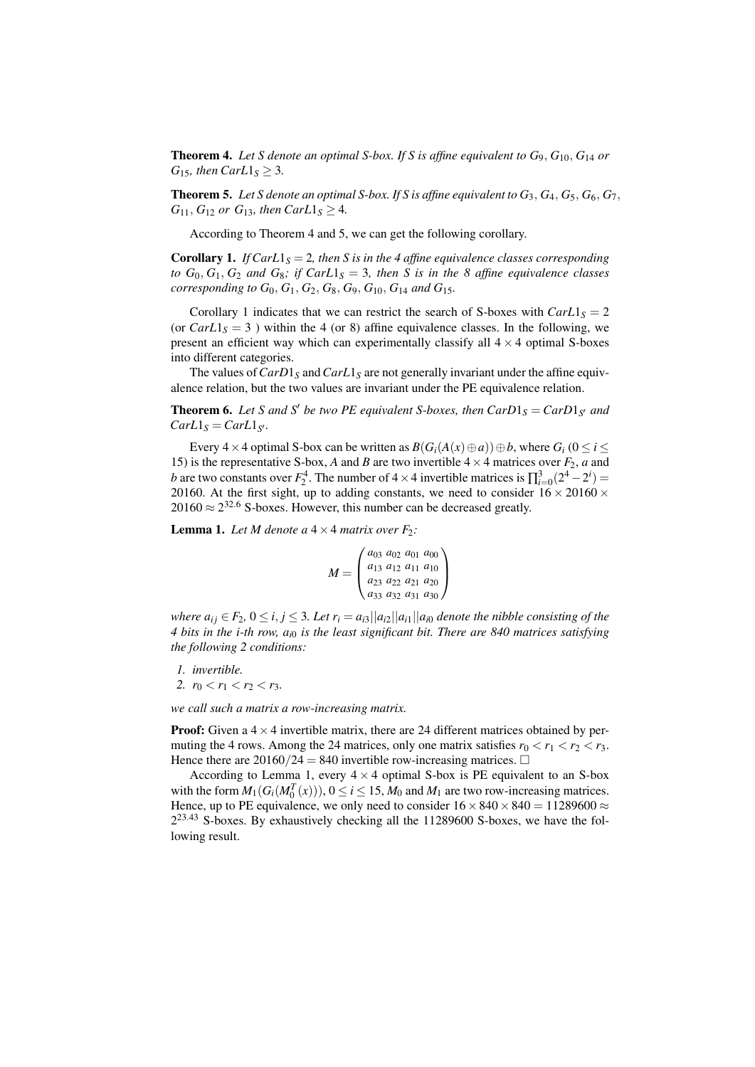**Theorem 4.** Let S denote an optimal S-box. If S is affine equivalent to  $G_9$ ,  $G_{10}$ ,  $G_{14}$  or *G*<sub>15</sub>*, then CarL*1<sub>*S*</sub>  $\geq$  3*.* 

**Theorem 5.** Let S denote an optimal S-box. If S is affine equivalent to  $G_3$ ,  $G_4$ ,  $G_5$ ,  $G_6$ ,  $G_7$ , *G*<sub>11</sub>*, G*<sub>12</sub> *or G*<sub>13</sub>*, then CarL*1<sub>*S*</sub>  $\geq$  4*.* 

According to Theorem 4 and 5, we can get the following corollary.

**Corollary 1.** *If CarL*1<sub>*S*</sub> = 2, then *S* is in the 4 affine equivalence classes corresponding *to*  $G_0$ ,  $G_1$ ,  $G_2$  *and*  $G_8$ ; *if*  $Carl1<sub>S</sub> = 3$ , *then S is in the* 8 *affine equivalence classes corresponding to*  $G_0$ ,  $G_1$ ,  $G_2$ ,  $G_8$ ,  $G_9$ ,  $G_{10}$ ,  $G_{14}$  *and*  $G_{15}$ *.* 

Corollary 1 indicates that we can restrict the search of S-boxes with  $CarL1<sub>S</sub> = 2$ (or  $Carl_5 = 3$ ) within the 4 (or 8) affine equivalence classes. In the following, we present an efficient way which can experimentally classify all  $4 \times 4$  optimal S-boxes into different categories.

The values of*CarD*1*<sup>S</sup>* and*CarL*1*<sup>S</sup>* are not generally invariant under the affine equivalence relation, but the two values are invariant under the PE equivalence relation.

**Theorem 6.** Let S and S<sup>*'*</sup> be two PE equivalent S-boxes, then  $CarD1<sub>S</sub> = CarD1<sub>S'</sub>$  and  $CarL1<sub>S</sub> = *CarL1<sub>S</sub>*$ 

Every  $4 \times 4$  optimal S-box can be written as  $B(G_i(A(x) \oplus a)) \oplus b$ , where  $G_i$  ( $0 \le i \le n$ 15) is the representative S-box, *A* and *B* are two invertible  $4 \times 4$  matrices over  $F_2$ , *a* and *b* are two constants over  $F_2^4$ . The number of  $4 \times 4$  invertible matrices is  $\prod_{i=0}^3 (2^4 - 2^i)$ 20160. At the first sight, up to adding constants, we need to consider  $16 \times 20160 \times$ 20160 *≈* 2 <sup>32</sup>*.*<sup>6</sup> S-boxes. However, this number can be decreased greatly.

**Lemma 1.** Let M denote a  $4 \times 4$  matrix over  $F_2$ :

$$
M = \begin{pmatrix} a_{03} & a_{02} & a_{01} & a_{00} \\ a_{13} & a_{12} & a_{11} & a_{10} \\ a_{23} & a_{22} & a_{21} & a_{20} \\ a_{33} & a_{32} & a_{31} & a_{30} \end{pmatrix}
$$

where  $a_{ii} \in F_2$ ,  $0 \le i, j \le 3$ . Let  $r_i = a_{i3} ||a_{i2}||a_{i1}||a_{i0}$  denote the nibble consisting of the *4 bits in the i-th row, ai*<sup>0</sup> *is the least significant bit. There are 840 matrices satisfying the following 2 conditions:*

- *1. invertible.*
- *2.*  $r_0 < r_1 < r_2 < r_3$ .

*we call such a matrix a row-increasing matrix.*

**Proof:** Given a  $4 \times 4$  invertible matrix, there are 24 different matrices obtained by permuting the 4 rows. Among the 24 matrices, only one matrix satisfies  $r_0 < r_1 < r_2 < r_3$ . Hence there are  $20160/24 = 840$  invertible row-increasing matrices.  $\Box$ 

According to Lemma 1, every  $4 \times 4$  optimal S-box is PE equivalent to an S-box with the form  $M_1(G_i(M_0^T(x))), 0 \le i \le 15$ ,  $M_0$  and  $M_1$  are two row-increasing matrices. Hence, up to PE equivalence, we only need to consider  $16 \times 840 \times 840 = 11289600 \approx$ 2 <sup>23</sup>*.*<sup>43</sup> S-boxes. By exhaustively checking all the 11289600 S-boxes, we have the following result.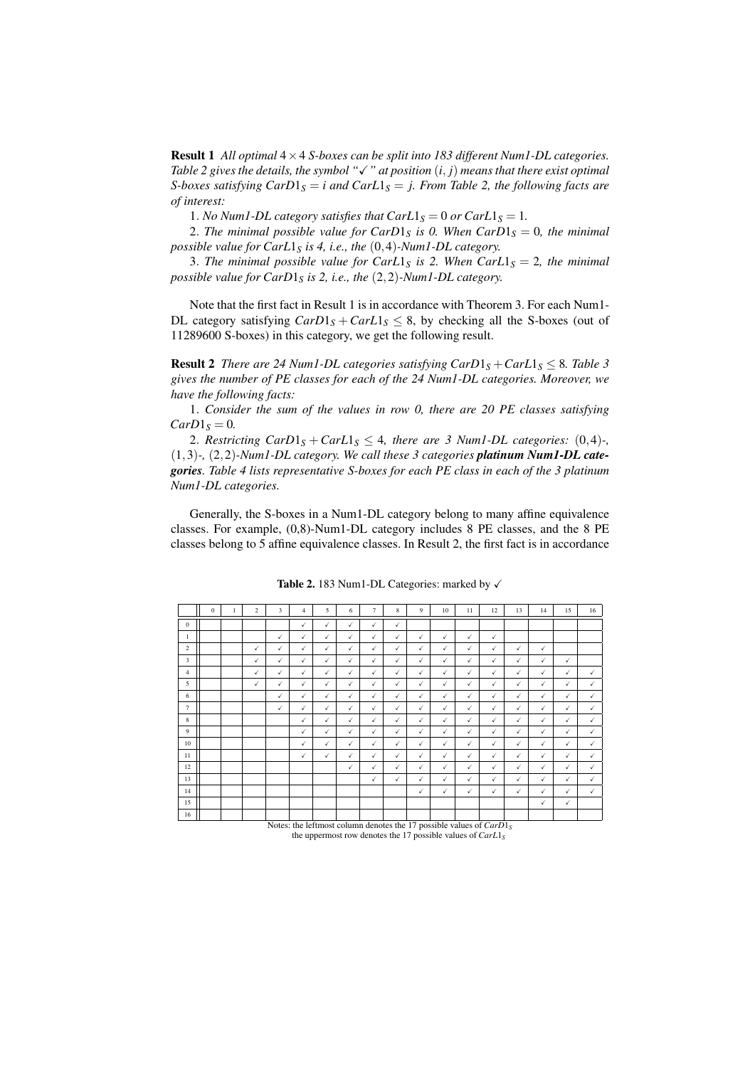Result 1 *All optimal* 4*×*4 *S-boxes can be split into 183 different Num1-DL categories. Table 2 gives the details, the symbol "*X*" at position* (*i, j*) *means that there exist optimal S-boxes satisfying CarD* $1_S = i$  *and CarL* $1_S = j$ *. From Table 2, the following facts are of interest:*

1*. No Num1-DL category satisfies that*  $CarL1<sub>S</sub> = 0$  *or*  $CarL1<sub>S</sub> = 1$ *.* 

2*.* The minimal possible value for CarD1<sub>S</sub> is 0. When CarD1<sub>S</sub> = 0, the minimal *possible value for CarL*1*<sup>S</sup> is 4, i.e., the* (0*,*4)*-Num1-DL category.*

3*. The minimal possible value for CarL*1<sub>*S</sub> is 2. When CarL*1<sub>*S*</sub> = 2*, the minimal*</sub> *possible value for CarD*1*<sup>S</sup> is 2, i.e., the* (2*,*2)*-Num1-DL category.*

Note that the first fact in Result 1 is in accordance with Theorem 3. For each Num1- DL category satisfying  $CarD1<sub>S</sub> + CarL1<sub>S</sub> \le 8$ , by checking all the S-boxes (out of 11289600 S-boxes) in this category, we get the following result.

**Result 2** *There are 24 Num1-DL categories satisfying*  $CarD1<sub>S</sub> + CarL1<sub>S</sub> \leq 8$ *. Table 3 gives the number of PE classes for each of the 24 Num1-DL categories. Moreover, we have the following facts:*

1*. Consider the sum of the values in row 0, there are 20 PE classes satisfying*  $CarD1<sub>S</sub> = 0$ *.* 

2*. Restricting CarD* $1_S + \text{CarL}$  $1_S \leq 4$ , *there are 3 Numl-DL categories:* (0,4)–, (1*,*3)*-,* (2*,*2)*-Num1-DL category. We call these 3 categories platinum Num1-DL categories. Table 4 lists representative S-boxes for each PE class in each of the 3 platinum Num1-DL categories.*

Generally, the S-boxes in a Num1-DL category belong to many affine equivalence classes. For example, (0,8)-Num1-DL category includes 8 PE classes, and the 8 PE classes belong to 5 affine equivalence classes. In Result 2, the first fact is in accordance

|                | $\mathbf{0}$ | 1 | 2            | 3            | $\overline{4}$ | 5            | 6            | $\tau$       | 8            | 9            | 10                                                                    | 11           | 12           | 13           | 14           | 15           | 16           |
|----------------|--------------|---|--------------|--------------|----------------|--------------|--------------|--------------|--------------|--------------|-----------------------------------------------------------------------|--------------|--------------|--------------|--------------|--------------|--------------|
| $\theta$       |              |   |              |              | $\checkmark$   | $\checkmark$ | $\checkmark$ | $\checkmark$ | $\checkmark$ |              |                                                                       |              |              |              |              |              |              |
| $\mathbf{1}$   |              |   |              | $\checkmark$ | $\checkmark$   | $\checkmark$ | $\checkmark$ | $\checkmark$ | $\checkmark$ | $\checkmark$ | $\checkmark$                                                          | $\checkmark$ | ✓            |              |              |              |              |
| $\,2\,$        |              |   | $\checkmark$ | $\checkmark$ | ✓              | $\checkmark$ | $\checkmark$ | $\checkmark$ | $\checkmark$ | $\checkmark$ | $\checkmark$                                                          | $\checkmark$ | $\checkmark$ | $\checkmark$ | $\checkmark$ |              |              |
| 3              |              |   | $\checkmark$ | $\checkmark$ | $\checkmark$   | $\checkmark$ | $\checkmark$ | $\checkmark$ | $\checkmark$ | $\checkmark$ | $\checkmark$                                                          | $\checkmark$ | $\checkmark$ | $\checkmark$ | $\checkmark$ | $\checkmark$ |              |
| $\overline{4}$ |              |   | $\checkmark$ | $\checkmark$ | $\checkmark$   | $\checkmark$ | $\checkmark$ | $\checkmark$ | $\checkmark$ | $\checkmark$ | $\checkmark$                                                          | $\checkmark$ | $\checkmark$ | $\checkmark$ | $\checkmark$ | $\checkmark$ | $\checkmark$ |
| 5              |              |   | ✓            | $\checkmark$ | √              | $\checkmark$ | $\checkmark$ | $\checkmark$ | $\checkmark$ | $\checkmark$ | $\checkmark$                                                          | $\checkmark$ | ✓            | $\checkmark$ | $\checkmark$ | $\checkmark$ | $\checkmark$ |
| 6              |              |   |              | $\checkmark$ | √              | $\checkmark$ | $\checkmark$ | $\checkmark$ | $\checkmark$ | ✓            | ✓                                                                     | $\checkmark$ | ✓            | $\checkmark$ | $\checkmark$ | $\checkmark$ | ✓            |
| $\overline{7}$ |              |   |              | $\checkmark$ | ✓              | $\checkmark$ | $\checkmark$ | $\checkmark$ | $\checkmark$ | ✓            | ✓                                                                     | $\checkmark$ | ✓            | $\checkmark$ | $\checkmark$ | $\checkmark$ | ✓            |
| 8              |              |   |              |              | √              | $\checkmark$ | $\checkmark$ | $\checkmark$ | $\checkmark$ | $\checkmark$ | ✓                                                                     | $\checkmark$ | ✓            | $\checkmark$ | $\checkmark$ | $\checkmark$ | ✓            |
| 9              |              |   |              |              | √              | $\checkmark$ | $\checkmark$ | $\checkmark$ | $\checkmark$ | $\checkmark$ | $\checkmark$                                                          | $\checkmark$ | ✓            | $\checkmark$ | $\checkmark$ | ✓            | ✓            |
| 10             |              |   |              |              | √              | ✓            | ✓            | $\checkmark$ | $\checkmark$ | $\checkmark$ | $\checkmark$                                                          | ✓            | ✓            | $\checkmark$ | $\checkmark$ | ✓            | ✓            |
| 11             |              |   |              |              | $\checkmark$   | $\checkmark$ | $\checkmark$ | $\checkmark$ | $\checkmark$ | $\checkmark$ | $\checkmark$                                                          | $\checkmark$ | ✓            | $\checkmark$ | $\checkmark$ | $\checkmark$ | $\checkmark$ |
| 12             |              |   |              |              |                |              | $\checkmark$ | $\checkmark$ | $\checkmark$ | $\checkmark$ | $\checkmark$                                                          | ✓            | ✓            | $\checkmark$ | $\checkmark$ | $\checkmark$ | $\checkmark$ |
| 13             |              |   |              |              |                |              |              | $\checkmark$ | $\checkmark$ | ✓            | ✓                                                                     | $\checkmark$ | ✓            | $\checkmark$ | $\checkmark$ | $\checkmark$ | $\checkmark$ |
| 14             |              |   |              |              |                |              |              |              |              | ✓            | $\checkmark$                                                          | $\checkmark$ | ✓            | $\checkmark$ | $\checkmark$ | $\checkmark$ | $\checkmark$ |
| 15             |              |   |              |              |                |              |              |              |              |              |                                                                       |              |              |              | $\checkmark$ | $\checkmark$ |              |
| 16             |              |   |              |              |                |              |              |              |              |              | Notes: the leftmost column denotes the 17 possible values of $CarD1s$ |              |              |              |              |              |              |

Table 2. 183 Num1-DL Categories: marked by  $\checkmark$ 

Notes: the leftmost column denotes the 17 possible values of *CarD*1<sub>*S*</sub> the uppermost row denotes the 17 possible values of *CarL*1<sub>*S*</sub>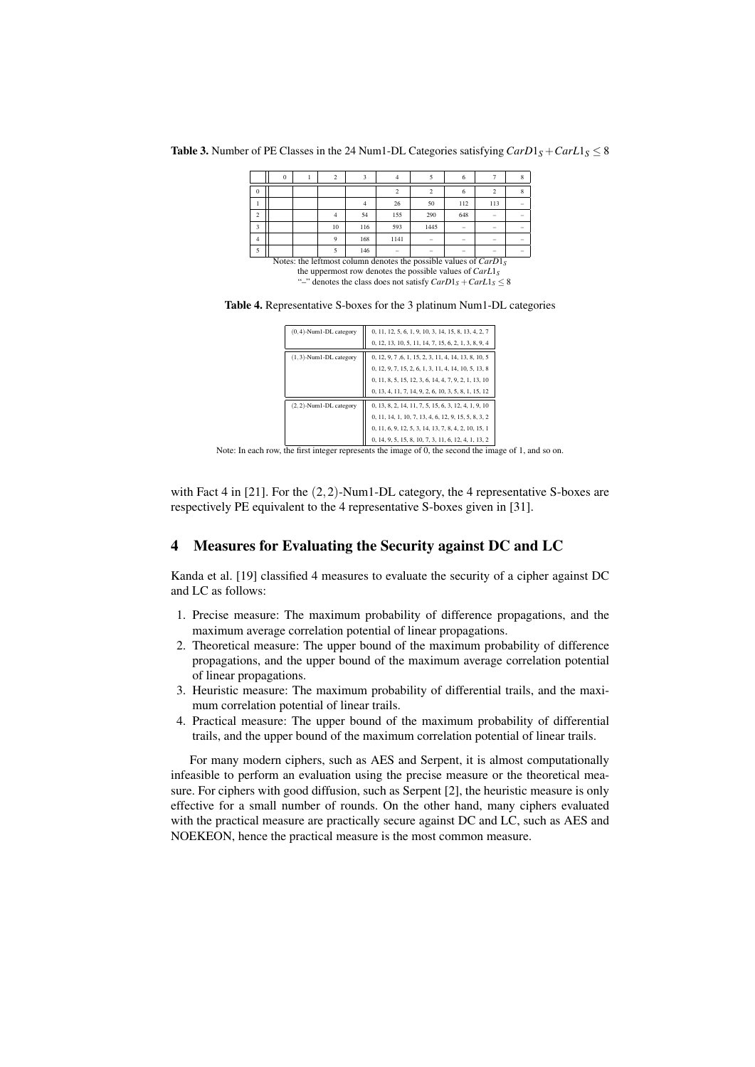**Table 3.** Number of PE Classes in the 24 Num1-DL Categories satisfying  $CarD1<sub>S</sub> + CarL1<sub>S</sub> \leq 8$ 

|                | 0 |    |     |                                                                    |      | <sub>o</sub> |                          | 8      |
|----------------|---|----|-----|--------------------------------------------------------------------|------|--------------|--------------------------|--------|
| $\bf{0}$       |   |    |     |                                                                    |      | 6            |                          | 8      |
|                |   |    |     | 26                                                                 | 50   | 112          | 113                      | $\sim$ |
| $\mathfrak{D}$ |   |    | 54  | 155                                                                | 290  | 648          | -                        | $\sim$ |
| 3              |   | 10 | 116 | 593                                                                | 1445 | $\sim$       | $\overline{\phantom{a}}$ | -      |
| 4              |   | q  | 168 | 1141                                                               |      | -            | $\sim$                   | $\sim$ |
|                |   |    | 146 | $\sim$                                                             | -    | -            | $\overline{\phantom{a}}$ | $\sim$ |
|                |   |    |     | Notes: the leftmost column denotes the possible values of $CarD1S$ |      |              |                          |        |

the uppermost row denotes the possible values of *CarL*1*<sup>S</sup>*

"–" denotes the class does not satisfy  $CarD1<sub>S</sub> + CarL1<sub>S</sub> \leq 8$ 

Table 4. Representative S-boxes for the 3 platinum Num1-DL categories

| $(0,4)$ -Num1-DL category | 0, 11, 12, 5, 6, 1, 9, 10, 3, 14, 15, 8, 13, 4, 2, 7 |
|---------------------------|------------------------------------------------------|
|                           | 0, 12, 13, 10, 5, 11, 14, 7, 15, 6, 2, 1, 3, 8, 9, 4 |
| $(1,3)$ -Num1-DL category | 0, 12, 9, 7, 6, 1, 15, 2, 3, 11, 4, 14, 13, 8, 10, 5 |
|                           | 0, 12, 9, 7, 15, 2, 6, 1, 3, 11, 4, 14, 10, 5, 13, 8 |
|                           | 0, 11, 8, 5, 15, 12, 3, 6, 14, 4, 7, 9, 2, 1, 13, 10 |
|                           | 0, 13, 4, 11, 7, 14, 9, 2, 6, 10, 3, 5, 8, 1, 15, 12 |
| $(2,2)$ -Num1-DL category | 0, 13, 8, 2, 14, 11, 7, 5, 15, 6, 3, 12, 4, 1, 9, 10 |
|                           | 0, 11, 14, 1, 10, 7, 13, 4, 6, 12, 9, 15, 5, 8, 3, 2 |
|                           | 0, 11, 6, 9, 12, 5, 3, 14, 13, 7, 8, 4, 2, 10, 15, 1 |
|                           | 0, 14, 9, 5, 15, 8, 10, 7, 3, 11, 6, 12, 4, 1, 13, 2 |

Note: In each row, the first integer represents the image of 0, the second the image of 1, and so on.

with Fact 4 in [21]. For the (2*,*2)-Num1-DL category, the 4 representative S-boxes are respectively PE equivalent to the 4 representative S-boxes given in [31].

# 4 Measures for Evaluating the Security against DC and LC

Kanda et al. [19] classified 4 measures to evaluate the security of a cipher against DC and LC as follows:

- 1. Precise measure: The maximum probability of difference propagations, and the maximum average correlation potential of linear propagations.
- 2. Theoretical measure: The upper bound of the maximum probability of difference propagations, and the upper bound of the maximum average correlation potential of linear propagations.
- 3. Heuristic measure: The maximum probability of differential trails, and the maximum correlation potential of linear trails.
- 4. Practical measure: The upper bound of the maximum probability of differential trails, and the upper bound of the maximum correlation potential of linear trails.

For many modern ciphers, such as AES and Serpent, it is almost computationally infeasible to perform an evaluation using the precise measure or the theoretical measure. For ciphers with good diffusion, such as Serpent [2], the heuristic measure is only effective for a small number of rounds. On the other hand, many ciphers evaluated with the practical measure are practically secure against DC and LC, such as AES and NOEKEON, hence the practical measure is the most common measure.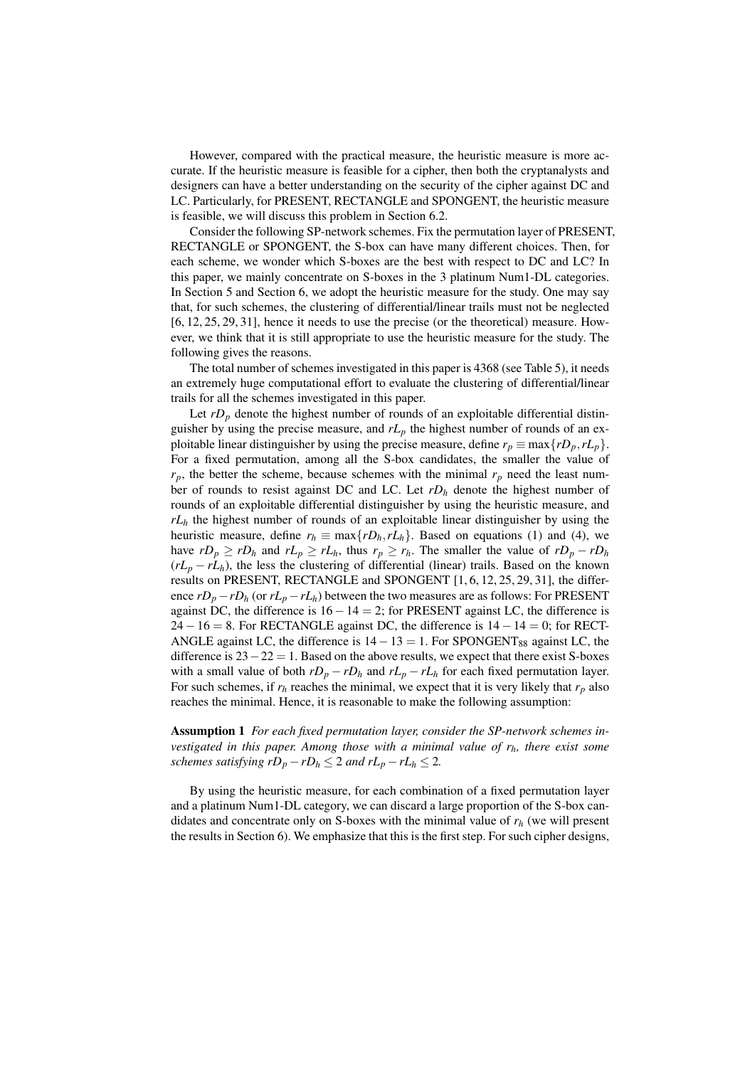However, compared with the practical measure, the heuristic measure is more accurate. If the heuristic measure is feasible for a cipher, then both the cryptanalysts and designers can have a better understanding on the security of the cipher against DC and LC. Particularly, for PRESENT, RECTANGLE and SPONGENT, the heuristic measure is feasible, we will discuss this problem in Section 6.2.

Consider the following SP-network schemes. Fix the permutation layer of PRESENT, RECTANGLE or SPONGENT, the S-box can have many different choices. Then, for each scheme, we wonder which S-boxes are the best with respect to DC and LC? In this paper, we mainly concentrate on S-boxes in the 3 platinum Num1-DL categories. In Section 5 and Section 6, we adopt the heuristic measure for the study. One may say that, for such schemes, the clustering of differential/linear trails must not be neglected [6, 12, 25, 29, 31], hence it needs to use the precise (or the theoretical) measure. However, we think that it is still appropriate to use the heuristic measure for the study. The following gives the reasons.

The total number of schemes investigated in this paper is 4368 (see Table 5), it needs an extremely huge computational effort to evaluate the clustering of differential/linear trails for all the schemes investigated in this paper.

Let  $rD_p$  denote the highest number of rounds of an exploitable differential distinguisher by using the precise measure, and  $rL_p$  the highest number of rounds of an exploitable linear distinguisher by using the precise measure, define  $r_p \equiv \max\{rD_p, rL_p\}$ . For a fixed permutation, among all the S-box candidates, the smaller the value of  $r_p$ , the better the scheme, because schemes with the minimal  $r_p$  need the least number of rounds to resist against DC and LC. Let *rD<sup>h</sup>* denote the highest number of rounds of an exploitable differential distinguisher by using the heuristic measure, and *rL<sup>h</sup>* the highest number of rounds of an exploitable linear distinguisher by using the heuristic measure, define  $r_h \equiv \max\{rD_h, rL_h\}$ . Based on equations (1) and (4), we have  $rD_p \ge rD_h$  and  $rL_p \ge rL_h$ , thus  $r_p \ge r_h$ . The smaller the value of  $rD_p - rD_h$  $(rL_p - rL_h)$ , the less the clustering of differential (linear) trails. Based on the known results on PRESENT, RECTANGLE and SPONGENT [1, 6, 12, 25, 29, 31], the difference  $rD_p - rD_h$  (or  $rL_p - rL_h$ ) between the two measures are as follows: For PRESENT against DC, the difference is 16*−*14 = 2; for PRESENT against LC, the difference is 24*−*16 = 8. For RECTANGLE against DC, the difference is 14*−*14 = 0; for RECT-ANGLE against LC, the difference is 14 − 13 = 1. For SPONGENT<sub>88</sub> against LC, the difference is 23*−*22 = 1. Based on the above results, we expect that there exist S-boxes with a small value of both  $rD_p - rD_h$  and  $rL_p - rL_h$  for each fixed permutation layer. For such schemes, if  $r_h$  reaches the minimal, we expect that it is very likely that  $r_p$  also reaches the minimal. Hence, it is reasonable to make the following assumption:

Assumption 1 *For each fixed permutation layer, consider the SP-network schemes investigated in this paper. Among those with a minimal value of rh, there exist some schemes satisfying*  $rD_p - rD_h \leq 2$  *<i>and*  $rL_p - rL_h \leq 2$ .

By using the heuristic measure, for each combination of a fixed permutation layer and a platinum Num1-DL category, we can discard a large proportion of the S-box candidates and concentrate only on S-boxes with the minimal value of *r<sup>h</sup>* (we will present the results in Section 6). We emphasize that this is the first step. For such cipher designs,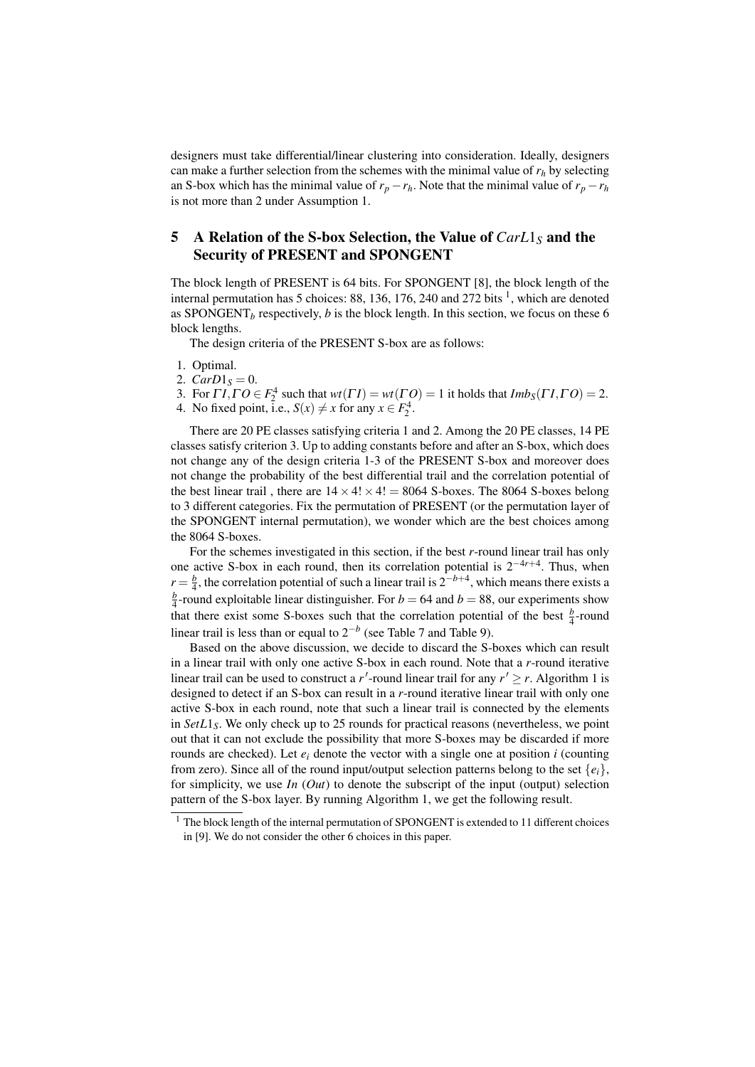designers must take differential/linear clustering into consideration. Ideally, designers can make a further selection from the schemes with the minimal value of  $r_h$  by selecting an S-box which has the minimal value of  $r_p - r_h$ . Note that the minimal value of  $r_p - r_h$ is not more than 2 under Assumption 1.

# 5 A Relation of the S-box Selection, the Value of *CarL*1*<sup>S</sup>* and the Security of PRESENT and SPONGENT

The block length of PRESENT is 64 bits. For SPONGENT [8], the block length of the internal permutation has 5 choices: 88, 136, 176, 240 and 272 bits  $<sup>1</sup>$ , which are denoted</sup> as SPONGENT<sub>*b*</sub> respectively, *b* is the block length. In this section, we focus on these 6 block lengths.

The design criteria of the PRESENT S-box are as follows:

- 1. Optimal.
- 2.  $CarD1<sub>S</sub> = 0$ .

3. For  $\Gamma I$ ,  $\Gamma O \in F_2^4$  such that  $wt(\Gamma I) = wt(\Gamma O) = 1$  it holds that  $Imb_S(\Gamma I, \Gamma O) = 2$ .

4. No fixed point, i.e.,  $S(x) \neq x$  for any  $x \in F_2^4$ .

There are 20 PE classes satisfying criteria 1 and 2. Among the 20 PE classes, 14 PE classes satisfy criterion 3. Up to adding constants before and after an S-box, which does not change any of the design criteria 1-3 of the PRESENT S-box and moreover does not change the probability of the best differential trail and the correlation potential of the best linear trail, there are  $14 \times 4! \times 4! = 8064$  S-boxes. The 8064 S-boxes belong to 3 different categories. Fix the permutation of PRESENT (or the permutation layer of the SPONGENT internal permutation), we wonder which are the best choices among the 8064 S-boxes.

For the schemes investigated in this section, if the best *r*-round linear trail has only one active S-box in each round, then its correlation potential is 2*−*4*r*+<sup>4</sup> . Thus, when  $r = \frac{b}{4}$ , the correlation potential of such a linear trail is  $2^{-b+4}$ , which means there exists a  $\frac{b}{4}$ -round exploitable linear distinguisher. For *b* = 64 and *b* = 88, our experiments show that there exist some S-boxes such that the correlation potential of the best  $\frac{b}{4}$ -round linear trail is less than or equal to 2*−<sup>b</sup>* (see Table 7 and Table 9).

Based on the above discussion, we decide to discard the S-boxes which can result in a linear trail with only one active S-box in each round. Note that a *r*-round iterative linear trail can be used to construct a *r*'-round linear trail for any  $r' \ge r$ . Algorithm 1 is designed to detect if an S-box can result in a *r*-round iterative linear trail with only one active S-box in each round, note that such a linear trail is connected by the elements in *SetL*1*S*. We only check up to 25 rounds for practical reasons (nevertheless, we point out that it can not exclude the possibility that more S-boxes may be discarded if more rounds are checked). Let  $e_i$  denote the vector with a single one at position  $i$  (counting from zero). Since all of the round input/output selection patterns belong to the set  $\{e_i\}$ , for simplicity, we use *In* (*Out*) to denote the subscript of the input (output) selection pattern of the S-box layer. By running Algorithm 1, we get the following result.

 $1$  The block length of the internal permutation of SPONGENT is extended to 11 different choices in [9]. We do not consider the other 6 choices in this paper.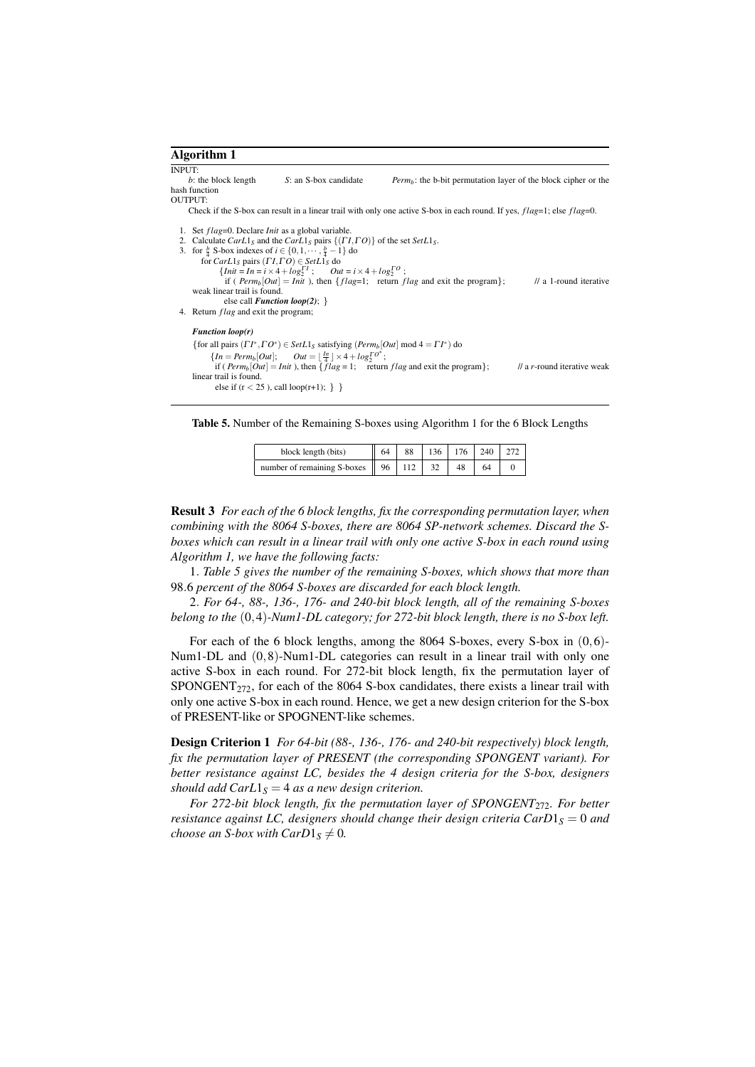```
Algorithm 1
```
INPUT:<br> $b$ : the block length *S*: an S-box candidate *Perm<sub>b</sub>*: the b-bit permutation layer of the block cipher or the hash function OUTPUT:

Check if the S-box can result in a linear trail with only one active S-box in each round. If yes, *f lag*=1; else *f lag*=0.

```
1. Set f lag=0. Declare Init as a global variable.<br>2. Calculate Carl_S and the Carl_S pairs {(\Gamma I<br>3. for \frac{b}{2} S-box indexes of i \in \{0, 1, \dots, \frac{b}{2} - 1\}2. Calculate CarL1S and the CarL1S pairs {(Γ I,Γ O)} of the set SetL1S.
3. for \frac{b}{4} S-box indexes of i \in \{0, 1, \dots, \frac{b}{4} - 1\} do
          for Carl_S pairs (II, \Gamma O) \in SetL1_S do \{Init = In = i \times 4 + log_2^{\Gamma I}; O; Out = i \times 4 + log_2^{\Gamma O};
                    \lim_{n \to \infty} \frac{2n - 1}{n - 1} = \lim_{n \to \infty} \frac{2n - 1}{n}; \lim_{n \to \infty} \frac{2n - 1}{n}; return f lag and exit the program}; // a 1-round iterative
     weak linear trail is found.
                   else call Function loop(2); }
4. Return f lag and exit the program;
     Function loop(r)
      {for all pairs } ( {\Gamma} {\Gamma}^* , {\Gamma} {\Gamma}^* ) \in Set L1_S satisfying (Perm_b[Out] \text{ mod } 4 = {\Gamma} {\Gamma}^* ) do
              \{In = Perm_b[Out]; \quad Out = \frac{Im}{4} \times 4 + log_2^{To*};if \left( \frac{Perm_b[Out]}{Perm_b[Out]} = \text{Init} \right), then \left\{ flag = 1; return f lag and exit the program}; // a r-round iterative weak
     linear trail is found.
               else if (r < 25), call loop(r+1);}
```
Table 5. Number of the Remaining S-boxes using Algorithm 1 for the 6 Block Lengths

| block length (bits)                              | 64 | 88 | $136 \mid 176$ | 240 |  |
|--------------------------------------------------|----|----|----------------|-----|--|
| number of remaining S-boxes $\parallel$ 96   112 |    |    | 48             |     |  |

Result 3 *For each of the 6 block lengths, fix the corresponding permutation layer, when combining with the 8064 S-boxes, there are 8064 SP-network schemes. Discard the Sboxes which can result in a linear trail with only one active S-box in each round using Algorithm 1, we have the following facts:*

1*. Table 5 gives the number of the remaining S-boxes, which shows that more than* 98*.*6 *percent of the 8064 S-boxes are discarded for each block length.*

2*. For 64-, 88-, 136-, 176- and 240-bit block length, all of the remaining S-boxes belong to the* (0*,*4)*-Num1-DL category; for 272-bit block length, there is no S-box left.*

For each of the 6 block lengths, among the 8064 S-boxes, every S-box in (0*,*6)- Num1-DL and (0*,*8)-Num1-DL categories can result in a linear trail with only one active S-box in each round. For 272-bit block length, fix the permutation layer of  $SPONGENT<sub>272</sub>$ , for each of the 8064 S-box candidates, there exists a linear trail with only one active S-box in each round. Hence, we get a new design criterion for the S-box of PRESENT-like or SPOGNENT-like schemes.

Design Criterion 1 *For 64-bit (88-, 136-, 176- and 240-bit respectively) block length, fix the permutation layer of PRESENT (the corresponding SPONGENT variant). For better resistance against LC, besides the 4 design criteria for the S-box, designers should add CarL* $1<sub>S</sub> = 4$  *as a new design criterion.* 

*For 272-bit block length, fix the permutation layer of SPONGENT*<sub>272</sub>*. For better resistance against LC, designers should change their design criteria CarD*1<sub>*S*</sub> = 0 *and choose an S-box with CarD* $1_S \neq 0$ *.*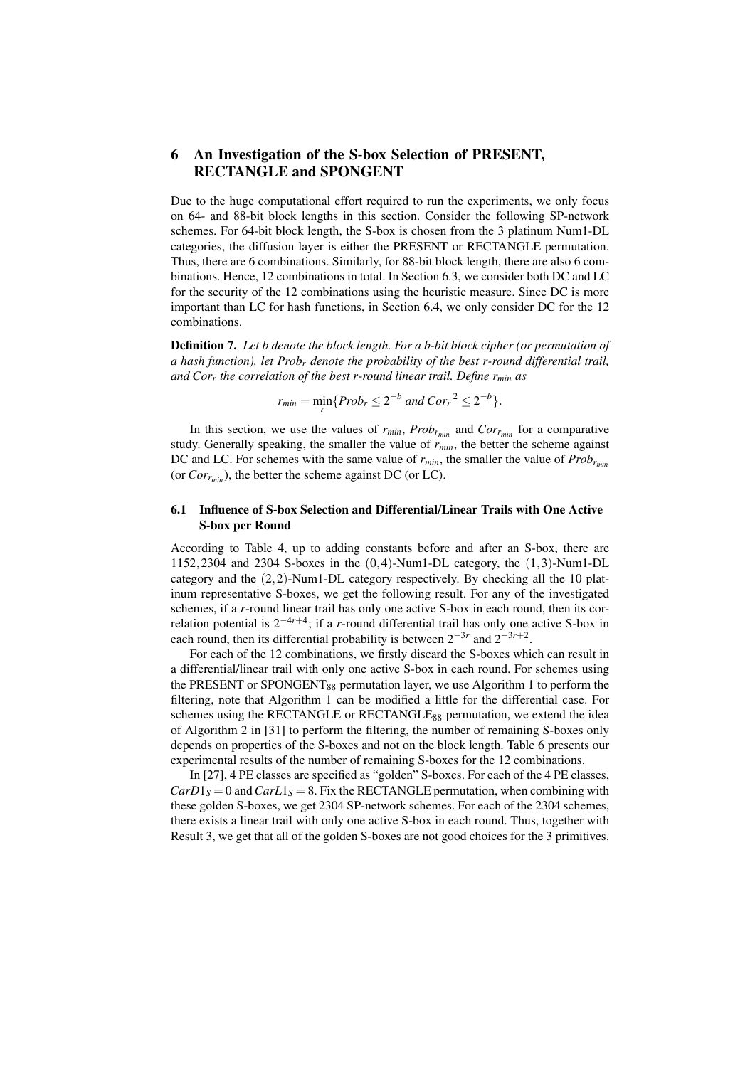# 6 An Investigation of the S-box Selection of PRESENT, RECTANGLE and SPONGENT

Due to the huge computational effort required to run the experiments, we only focus on 64- and 88-bit block lengths in this section. Consider the following SP-network schemes. For 64-bit block length, the S-box is chosen from the 3 platinum Num1-DL categories, the diffusion layer is either the PRESENT or RECTANGLE permutation. Thus, there are 6 combinations. Similarly, for 88-bit block length, there are also 6 combinations. Hence, 12 combinations in total. In Section 6.3, we consider both DC and LC for the security of the 12 combinations using the heuristic measure. Since DC is more important than LC for hash functions, in Section 6.4, we only consider DC for the 12 combinations.

Definition 7. *Let b denote the block length. For a b-bit block cipher (or permutation of a hash function), let Prob<sup>r</sup> denote the probability of the best r-round differential trail, and Cor<sup>r</sup> the correlation of the best r-round linear trail. Define rmin as*

 $r_{min} = \min_{r} \{Prob_r \leq 2^{-b} \text{ and } Cor_r{}^2 \leq 2^{-b}\}.$ 

In this section, we use the values of  $r_{min}$ ,  $Prob_{r_{min}}$  and  $Cor_{r_{min}}$  for a comparative study. Generally speaking, the smaller the value of *rmin*, the better the scheme against DC and LC. For schemes with the same value of *rmin*, the smaller the value of *Probrmin* (or  $Cor<sub>r<sub>min</sub></sub>$ ), the better the scheme against DC (or LC).

## 6.1 Influence of S-box Selection and Differential/Linear Trails with One Active S-box per Round

According to Table 4, up to adding constants before and after an S-box, there are 1152*,*2304 and 2304 S-boxes in the (0*,*4)-Num1-DL category, the (1*,*3)-Num1-DL category and the (2*,*2)-Num1-DL category respectively. By checking all the 10 platinum representative S-boxes, we get the following result. For any of the investigated schemes, if a *r*-round linear trail has only one active S-box in each round, then its correlation potential is 2*−*4*r*+<sup>4</sup> ; if a *r*-round differential trail has only one active S-box in each round, then its differential probability is between  $2^{-3r}$  and  $2^{-3r+2}$ .

For each of the 12 combinations, we firstly discard the S-boxes which can result in a differential/linear trail with only one active S-box in each round. For schemes using the PRESENT or SPONGENT<sub>88</sub> permutation layer, we use Algorithm 1 to perform the filtering, note that Algorithm 1 can be modified a little for the differential case. For schemes using the RECTANGLE or RECTANGLE $_{88}$  permutation, we extend the idea of Algorithm 2 in [31] to perform the filtering, the number of remaining S-boxes only depends on properties of the S-boxes and not on the block length. Table 6 presents our experimental results of the number of remaining S-boxes for the 12 combinations.

In [27], 4 PE classes are specified as "golden" S-boxes. For each of the 4 PE classes,  $CarD1<sub>S</sub> = 0$  and  $CarL1<sub>S</sub> = 8$ . Fix the RECTANGLE permutation, when combining with these golden S-boxes, we get 2304 SP-network schemes. For each of the 2304 schemes, there exists a linear trail with only one active S-box in each round. Thus, together with Result 3, we get that all of the golden S-boxes are not good choices for the 3 primitives.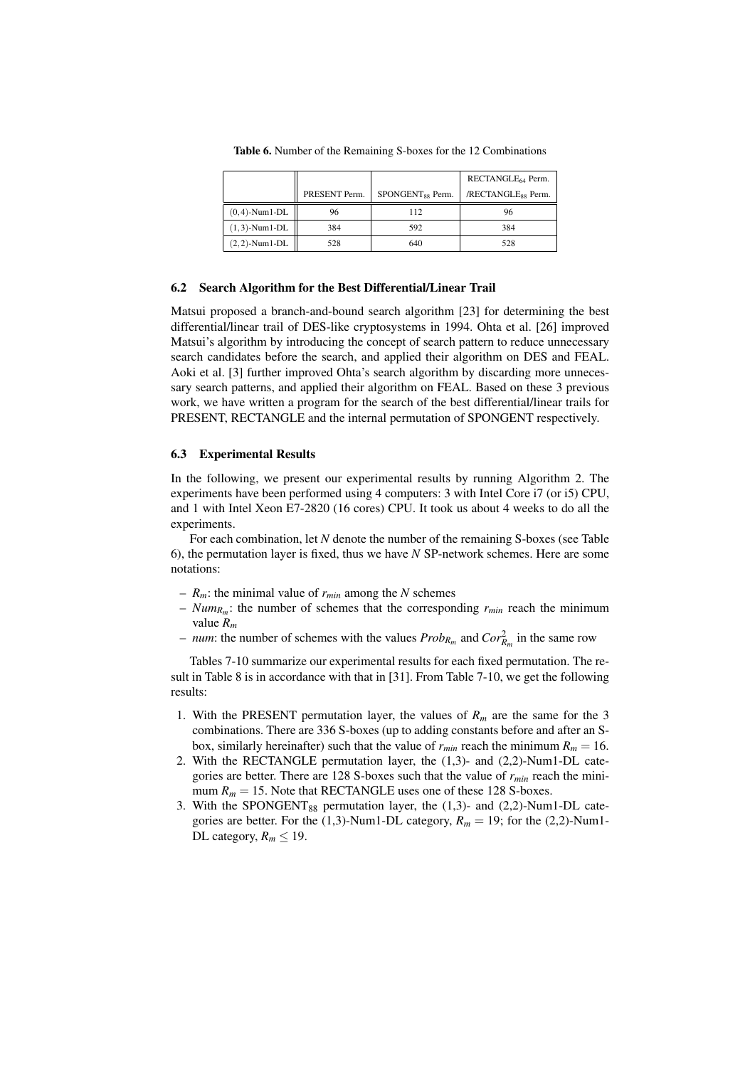|                      |               |                              | RECTANGLE <sub>64</sub> Perm.  |
|----------------------|---------------|------------------------------|--------------------------------|
|                      | PRESENT Perm. | SPONGENT <sub>88</sub> Perm. | /RECTANGLE <sub>88</sub> Perm. |
| $(0,4)$ -Num $1$ -DL | 96            | 112                          | 96                             |
| $(1,3)$ -Num $1$ -DL | 384           | 592                          | 384                            |
| $(2,2)$ -Num $1$ -DL | 528           | 640                          | 528                            |

Table 6. Number of the Remaining S-boxes for the 12 Combinations

#### 6.2 Search Algorithm for the Best Differential/Linear Trail

Matsui proposed a branch-and-bound search algorithm [23] for determining the best differential/linear trail of DES-like cryptosystems in 1994. Ohta et al. [26] improved Matsui's algorithm by introducing the concept of search pattern to reduce unnecessary search candidates before the search, and applied their algorithm on DES and FEAL. Aoki et al. [3] further improved Ohta's search algorithm by discarding more unnecessary search patterns, and applied their algorithm on FEAL. Based on these 3 previous work, we have written a program for the search of the best differential/linear trails for PRESENT, RECTANGLE and the internal permutation of SPONGENT respectively.

#### 6.3 Experimental Results

In the following, we present our experimental results by running Algorithm 2. The experiments have been performed using 4 computers: 3 with Intel Core i7 (or i5) CPU, and 1 with Intel Xeon E7-2820 (16 cores) CPU. It took us about 4 weeks to do all the experiments.

For each combination, let *N* denote the number of the remaining S-boxes (see Table 6), the permutation layer is fixed, thus we have *N* SP-network schemes. Here are some notations:

- $R_m$ : the minimal value of  $r_{min}$  among the *N* schemes
- *NumR<sup>m</sup>* : the number of schemes that the corresponding *rmin* reach the minimum value *R<sup>m</sup>*
- $-$  *num*: the number of schemes with the values  $Prob_{R_m}$  and  $Cor_{R_m}^2$  in the same row

Tables 7-10 summarize our experimental results for each fixed permutation. The result in Table 8 is in accordance with that in [31]. From Table 7-10, we get the following results:

- 1. With the PRESENT permutation layer, the values of  $R_m$  are the same for the 3 combinations. There are 336 S-boxes (up to adding constants before and after an Sbox, similarly hereinafter) such that the value of  $r_{min}$  reach the minimum  $R_m = 16$ .
- 2. With the RECTANGLE permutation layer, the (1,3)- and (2,2)-Num1-DL categories are better. There are 128 S-boxes such that the value of *rmin* reach the minimum  $R_m = 15$ . Note that RECTANGLE uses one of these 128 S-boxes.
- 3. With the SPONGENT $_{88}$  permutation layer, the (1,3)- and (2,2)-Num1-DL categories are better. For the (1,3)-Num1-DL category,  $R_m = 19$ ; for the (2,2)-Num1-DL category,  $R_m \leq 19$ .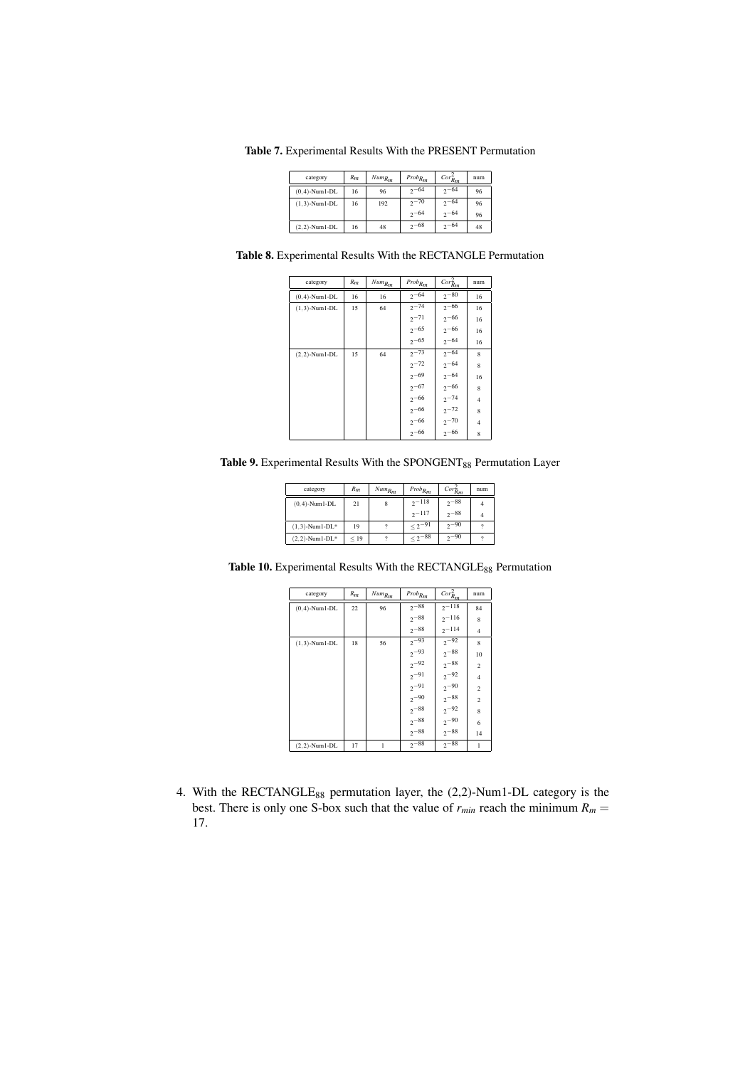Table 7. Experimental Results With the PRESENT Permutation

| category             | $R_m$ | $Num_{R_m}$ | $Prob_{R_m}$ | Cor <sub>Rm</sub> | num |
|----------------------|-------|-------------|--------------|-------------------|-----|
| $(0, 4)$ -Num1-DL    | 16    | 96          | $2 - 64$     | $2 - 64$          | 96  |
| $(1,3)$ -Num $1$ -DL | 16    | 192         | $2^{70}$     | $2^{-64}$         | 96  |
|                      |       |             | $2^{-64}$    | $2 - 64$          | 96  |
| $(2.2)$ -Num1-DL     | 16    | 48          | $2^{-68}$    | $2 - 64$          | 48  |

Table 8. Experimental Results With the RECTANGLE Permutation

| category         | $R_m$ | $Num_{R_m}$ | $Prob_{R_m}$ | $Cor^2_{R_m}$ | num            |
|------------------|-------|-------------|--------------|---------------|----------------|
| $(0,4)$ -Num1-DL | 16    | 16          | $2^{-64}$    | $2^{-80}$     | 16             |
| $(1,3)$ -Num1-DL | 15    | 64          | $2^{-74}$    | $2^{-66}$     | 16             |
|                  |       |             | $2^{-71}$    | $2^{-66}$     | 16             |
|                  |       |             | $2^{-65}$    | $2^{-66}$     | 16             |
|                  |       |             | $2^{-65}$    | $2^{-64}$     | 16             |
| $(2,2)$ -Num1-DL | 15    | 64          | $2^{-73}$    | $2^{-64}$     | $\mathbf{8}$   |
|                  |       |             | $2^{-72}$    | $2^{-64}$     | 8              |
|                  |       |             | $2^{-69}$    | $2^{-64}$     | 16             |
|                  |       |             | $2^{-67}$    | $2^{-66}$     | 8              |
|                  |       |             | $2^{-66}$    | $2^{-74}$     | $\overline{4}$ |
|                  |       |             | $2^{-66}$    | $2^{-72}$     | 8              |
|                  |       |             | $2^{-66}$    | $2^{-70}$     | $\overline{4}$ |
|                  |       |             | $2 - 66$     | $2 - 66$      | 8              |
|                  |       |             |              |               |                |

Table 9. Experimental Results With the SPONGENT<sub>88</sub> Permutation Layer

| category              | $R_m$ | $Num_{R_m}$ | $Prob_{R_m}$   | Cor <sub>Rm</sub> <sup>2</sup> | num |
|-----------------------|-------|-------------|----------------|--------------------------------|-----|
| $(0, 4)$ -Num $1$ -DL | 21    | 8           | $2 - 118$      | $2 - 88$                       |     |
|                       |       |             | $2 - 117$      | $2 - 88$                       |     |
| $(1,3)$ -Num1-DL*     | 19    |             | $< 2^{-91}$    | $2 - 90$                       |     |
| $(2, 2)$ -Num1-DL*    | < 19  |             | $\leq 2^{-88}$ | $2 - 90$                       |     |

Table 10. Experimental Results With the RECTANGLE<sub>88</sub> Permutation

| category         | $R_m$ | $Num_{R_m}$ | $Prob_{R_m}$ | $Cor^2_{R_m}$ | num            |
|------------------|-------|-------------|--------------|---------------|----------------|
| $(0,4)$ -Num1-DL | 22    | 96          | $2^{-88}$    | $2^{-118}$    | 84             |
|                  |       |             | $2^{-88}$    | $2^{-116}$    | 8              |
|                  |       |             | $2 - 88$     | $2^{-114}$    | $\overline{4}$ |
| $(1,3)$ -Num1-DL | 18    | 56          | $2^{-93}$    | $2^{-92}$     | 8              |
|                  |       |             | $2^{-93}$    | $2^{-88}$     | 10             |
|                  |       |             | $2^{-92}$    | $2^{-88}$     | $\overline{2}$ |
|                  |       |             | $2^{-91}$    | $2^{-92}$     | $\overline{4}$ |
|                  |       |             | $2^{-91}$    | $2^{-90}$     | $\overline{2}$ |
|                  |       |             | $2^{-90}$    | $2^{-88}$     | $\overline{2}$ |
|                  |       |             | $2^{-88}$    | $2^{-92}$     | 8              |
|                  |       |             | $2^{-88}$    | $2^{-90}$     | 6              |
|                  |       |             | $2^{-88}$    | $2^{-88}$     | 14             |
| $(2,2)$ -Num1-DL | 17    |             | $2^{-88}$    | $2^{-88}$     |                |

4. With the RECTANGLE<sub>88</sub> permutation layer, the (2,2)-Num1-DL category is the best. There is only one S-box such that the value of  $r_{min}$  reach the minimum  $R_m$  = 17.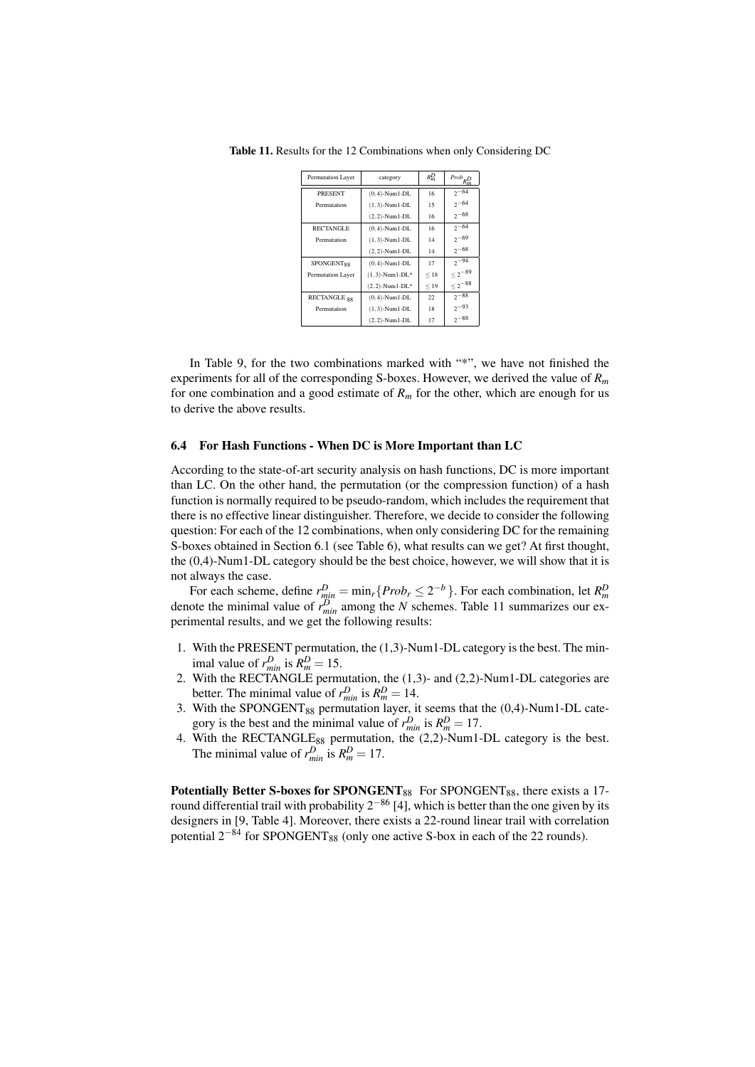| Permutation Layer            | category             | $R_m^D$ | $Prob_{R_m^D}$ |
|------------------------------|----------------------|---------|----------------|
| <b>PRESENT</b>               | $(0,4)$ -Num $1$ -DL | 16      | $2 - 64$       |
| Permutation                  | $(1,3)$ -Num $1$ -DL | 15      | $2 - 64$       |
|                              | $(2,2)$ -Num1-DL     | 16      | $2 - 68$       |
| <b>RECTANGLE</b>             | $(0,4)$ -Num1-DL     | 16      | $2 - 64$       |
| Permutation                  | $(1,3)$ -Num $1$ -DL | 14      | $2 - 69$       |
|                              | $(2,2)$ -Num1-DL     | 14      | $2 - 68$       |
| <b>SPONGENT<sub>88</sub></b> | $(0,4)$ -Num $1$ -DL | 17      | $2^{-94}$      |
| Permutation Layer            | $(1,3)$ -Num1-DL*    | < 18    | $\leq 2^{-89}$ |
|                              | $(2,2)$ -Num1-DL*    | < 19    | $\leq 2^{-88}$ |
| RECTANGLE <sub>88</sub>      | $(0,4)$ -Num1-DL     | 22      | $2 - 88$       |
| Permutation                  | $(1,3)$ -Num $1$ -DL | 18      | $2 - 93$       |
|                              | $(2,2)$ -Num1-DL     | 17      | $2 - 88$       |

Table 11. Results for the 12 Combinations when only Considering DC

In Table 9, for the two combinations marked with "\*", we have not finished the experiments for all of the corresponding S-boxes. However, we derived the value of *R<sup>m</sup>* for one combination and a good estimate of  $R<sub>m</sub>$  for the other, which are enough for us to derive the above results.

#### 6.4 For Hash Functions - When DC is More Important than LC

According to the state-of-art security analysis on hash functions, DC is more important than LC. On the other hand, the permutation (or the compression function) of a hash function is normally required to be pseudo-random, which includes the requirement that there is no effective linear distinguisher. Therefore, we decide to consider the following question: For each of the 12 combinations, when only considering DC for the remaining S-boxes obtained in Section 6.1 (see Table 6), what results can we get? At first thought, the (0,4)-Num1-DL category should be the best choice, however, we will show that it is not always the case.

For each scheme, define  $r_{min}^D = \min_r \{Prob_r \le 2^{-b}\}\.$  For each combination, let  $R_m^D$  denote the minimal value of  $r_{min}^D$  among the N schemes. Table 11 summarizes our experimental results, and we get the following results:

- 1. With the PRESENT permutation, the (1,3)-Num1-DL category is the best. The minimal value of  $r_{min}^D$  is  $R_m^D = 15$ .
- 2. With the RECTANGLE permutation, the (1,3)- and (2,2)-Num1-DL categories are better. The minimal value of  $r_{min}^D$  is  $R_m^D = 14$ .
- 3. With the SPONGENT $_{88}$  permutation layer, it seems that the (0,4)-Num1-DL category is the best and the minimal value of  $r_{min}^D$  is  $R_m^D = 17$ .
- 4. With the RECTANGLE<sub>88</sub> permutation, the  $(2,2)$ -Num1-DL category is the best. The minimal value of  $r_{min}^D$  is  $R_m^D = 17$ .

Potentially Better S-boxes for SPONGENT $_{88}$  For SPONGENT $_{88}$ , there exists a 17round differential trail with probability 2*−*<sup>86</sup> [4], which is better than the one given by its designers in [9, Table 4]. Moreover, there exists a 22-round linear trail with correlation potential 2<sup>−84</sup> for SPONGENT<sub>88</sub> (only one active S-box in each of the 22 rounds).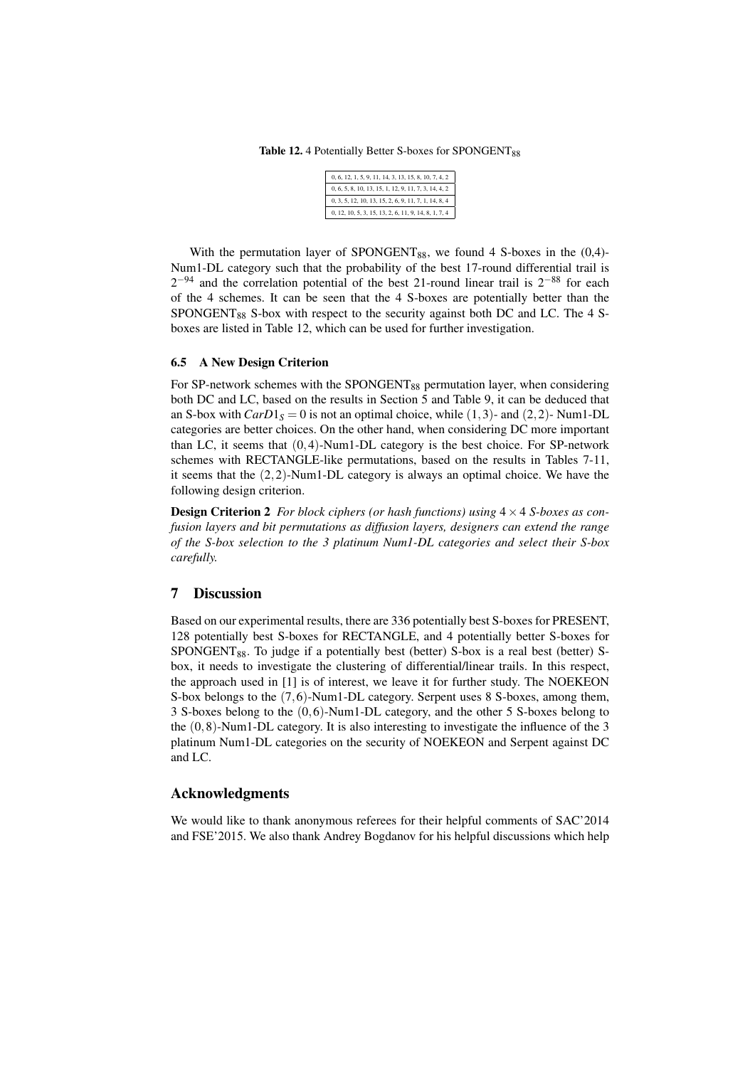Table 12. 4 Potentially Better S-boxes for SPONGENT<sub>88</sub>

| 0, 6, 12, 1, 5, 9, 11, 14, 3, 13, 15, 8, 10, 7, 4, 2 |
|------------------------------------------------------|
| 0, 6, 5, 8, 10, 13, 15, 1, 12, 9, 11, 7, 3, 14, 4, 2 |
| 0, 3, 5, 12, 10, 13, 15, 2, 6, 9, 11, 7, 1, 14, 8, 4 |
| 0, 12, 10, 5, 3, 15, 13, 2, 6, 11, 9, 14, 8, 1, 7, 4 |

With the permutation layer of SPONGENT $_{88}$ , we found 4 S-boxes in the (0,4)-Num1-DL category such that the probability of the best 17-round differential trail is 2 *<sup>−</sup>*<sup>94</sup> and the correlation potential of the best 21-round linear trail is 2*−*<sup>88</sup> for each of the 4 schemes. It can be seen that the 4 S-boxes are potentially better than the  $SPONGENT_{88}$  S-box with respect to the security against both DC and LC. The 4 Sboxes are listed in Table 12, which can be used for further investigation.

#### 6.5 A New Design Criterion

For SP-network schemes with the SPONGENT $_{88}$  permutation layer, when considering both DC and LC, based on the results in Section 5 and Table 9, it can be deduced that an S-box with  $CarD1<sub>S</sub> = 0$  is not an optimal choice, while (1,3)- and (2,2)- Num1-DL categories are better choices. On the other hand, when considering DC more important than LC, it seems that (0*,*4)-Num1-DL category is the best choice. For SP-network schemes with RECTANGLE-like permutations, based on the results in Tables 7-11, it seems that the (2*,*2)-Num1-DL category is always an optimal choice. We have the following design criterion.

Design Criterion 2 *For block ciphers (or hash functions) using* 4*×*4 *S-boxes as confusion layers and bit permutations as diffusion layers, designers can extend the range of the S-box selection to the 3 platinum Num1-DL categories and select their S-box carefully.*

## 7 Discussion

Based on our experimental results, there are 336 potentially best S-boxes for PRESENT, 128 potentially best S-boxes for RECTANGLE, and 4 potentially better S-boxes for SPONGENT<sub>88</sub>. To judge if a potentially best (better) S-box is a real best (better) Sbox, it needs to investigate the clustering of differential/linear trails. In this respect, the approach used in [1] is of interest, we leave it for further study. The NOEKEON S-box belongs to the (7*,*6)-Num1-DL category. Serpent uses 8 S-boxes, among them, 3 S-boxes belong to the (0*,*6)-Num1-DL category, and the other 5 S-boxes belong to the (0*,*8)-Num1-DL category. It is also interesting to investigate the influence of the 3 platinum Num1-DL categories on the security of NOEKEON and Serpent against DC and LC.

## Acknowledgments

We would like to thank anonymous referees for their helpful comments of SAC'2014 and FSE'2015. We also thank Andrey Bogdanov for his helpful discussions which help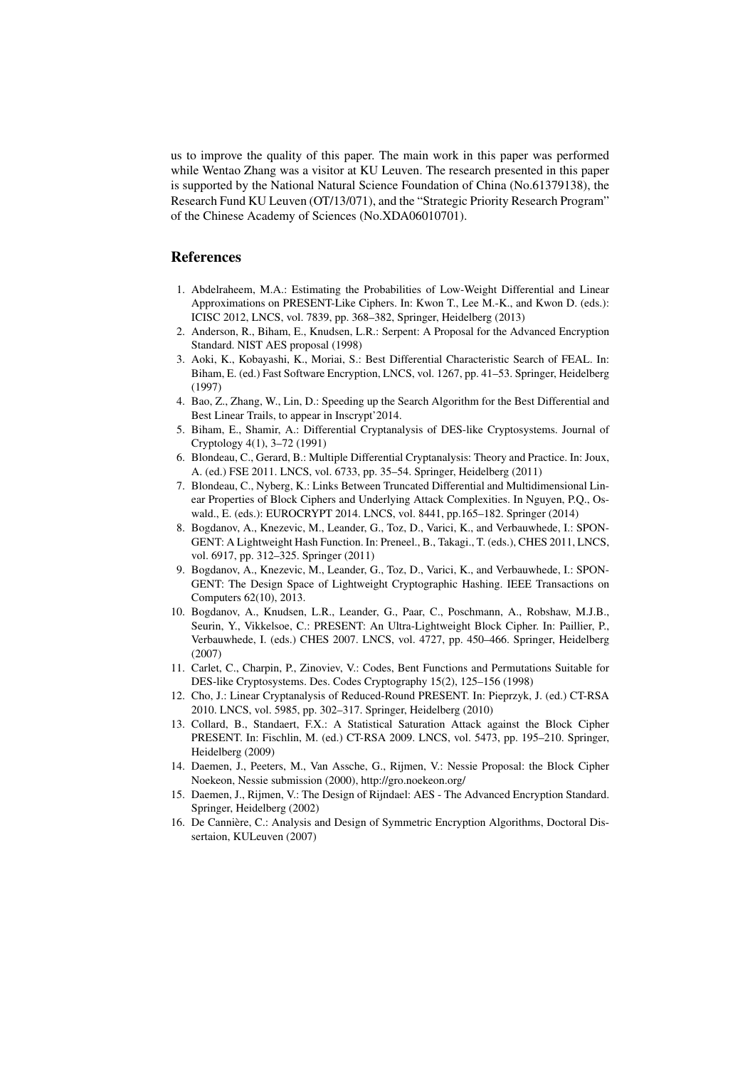us to improve the quality of this paper. The main work in this paper was performed while Wentao Zhang was a visitor at KU Leuven. The research presented in this paper is supported by the National Natural Science Foundation of China (No.61379138), the Research Fund KU Leuven (OT/13/071), and the "Strategic Priority Research Program" of the Chinese Academy of Sciences (No.XDA06010701).

# References

- 1. Abdelraheem, M.A.: Estimating the Probabilities of Low-Weight Differential and Linear Approximations on PRESENT-Like Ciphers. In: Kwon T., Lee M.-K., and Kwon D. (eds.): ICISC 2012, LNCS, vol. 7839, pp. 368–382, Springer, Heidelberg (2013)
- 2. Anderson, R., Biham, E., Knudsen, L.R.: Serpent: A Proposal for the Advanced Encryption Standard. NIST AES proposal (1998)
- 3. Aoki, K., Kobayashi, K., Moriai, S.: Best Differential Characteristic Search of FEAL. In: Biham, E. (ed.) Fast Software Encryption, LNCS, vol. 1267, pp. 41–53. Springer, Heidelberg (1997)
- 4. Bao, Z., Zhang, W., Lin, D.: Speeding up the Search Algorithm for the Best Differential and Best Linear Trails, to appear in Inscrypt'2014.
- 5. Biham, E., Shamir, A.: Differential Cryptanalysis of DES-like Cryptosystems. Journal of Cryptology 4(1), 3–72 (1991)
- 6. Blondeau, C., Gerard, B.: Multiple Differential Cryptanalysis: Theory and Practice. In: Joux, A. (ed.) FSE 2011. LNCS, vol. 6733, pp. 35–54. Springer, Heidelberg (2011)
- 7. Blondeau, C., Nyberg, K.: Links Between Truncated Differential and Multidimensional Linear Properties of Block Ciphers and Underlying Attack Complexities. In Nguyen, P.Q., Oswald., E. (eds.): EUROCRYPT 2014. LNCS, vol. 8441, pp.165–182. Springer (2014)
- 8. Bogdanov, A., Knezevic, M., Leander, G., Toz, D., Varici, K., and Verbauwhede, I.: SPON-GENT: A Lightweight Hash Function. In: Preneel., B., Takagi., T. (eds.), CHES 2011, LNCS, vol. 6917, pp. 312–325. Springer (2011)
- 9. Bogdanov, A., Knezevic, M., Leander, G., Toz, D., Varici, K., and Verbauwhede, I.: SPON-GENT: The Design Space of Lightweight Cryptographic Hashing. IEEE Transactions on Computers 62(10), 2013.
- 10. Bogdanov, A., Knudsen, L.R., Leander, G., Paar, C., Poschmann, A., Robshaw, M.J.B., Seurin, Y., Vikkelsoe, C.: PRESENT: An Ultra-Lightweight Block Cipher. In: Paillier, P., Verbauwhede, I. (eds.) CHES 2007. LNCS, vol. 4727, pp. 450–466. Springer, Heidelberg (2007)
- 11. Carlet, C., Charpin, P., Zinoviev, V.: Codes, Bent Functions and Permutations Suitable for DES-like Cryptosystems. Des. Codes Cryptography 15(2), 125–156 (1998)
- 12. Cho, J.: Linear Cryptanalysis of Reduced-Round PRESENT. In: Pieprzyk, J. (ed.) CT-RSA 2010. LNCS, vol. 5985, pp. 302–317. Springer, Heidelberg (2010)
- 13. Collard, B., Standaert, F.X.: A Statistical Saturation Attack against the Block Cipher PRESENT. In: Fischlin, M. (ed.) CT-RSA 2009. LNCS, vol. 5473, pp. 195–210. Springer, Heidelberg (2009)
- 14. Daemen, J., Peeters, M., Van Assche, G., Rijmen, V.: Nessie Proposal: the Block Cipher Noekeon, Nessie submission (2000), http://gro.noekeon.org/
- 15. Daemen, J., Rijmen, V.: The Design of Rijndael: AES The Advanced Encryption Standard. Springer, Heidelberg (2002)
- 16. De Cannière, C.: Analysis and Design of Symmetric Encryption Algorithms, Doctoral Dissertaion, KULeuven (2007)